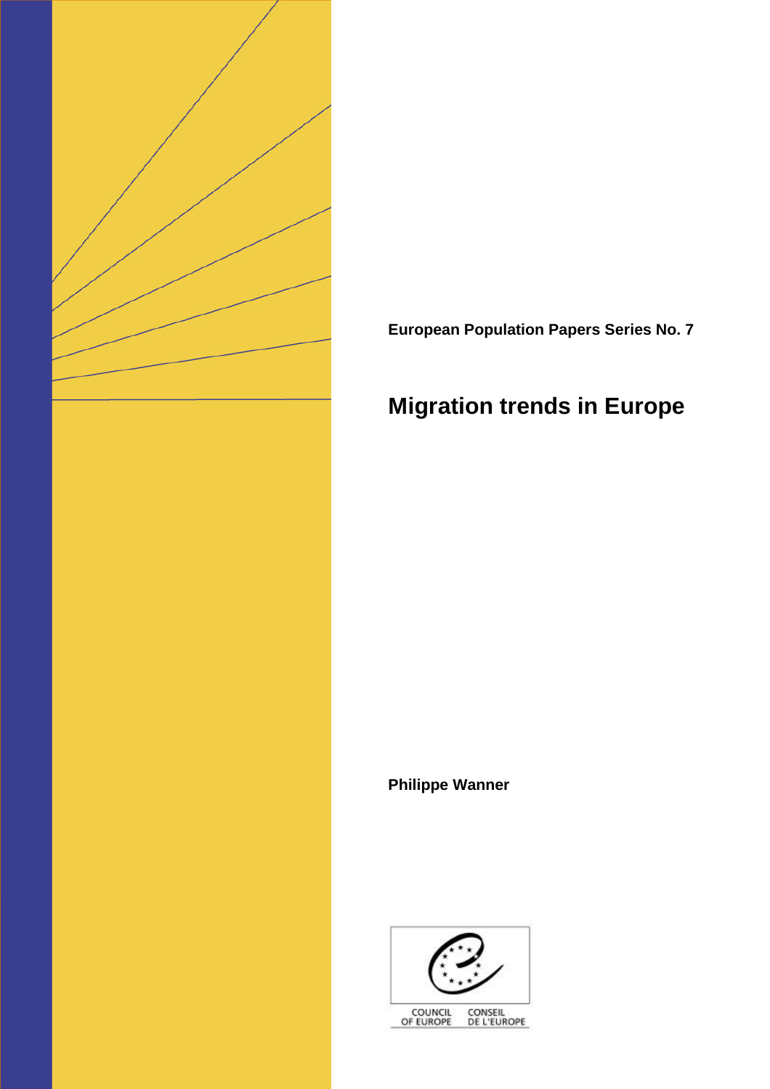

**European Population Papers Series No. 7**

# **Migration trends in Europe**

**Philippe Wanner**



COUNCIL<br>OF EUROPE CONSEIL<br>DE L'EUROPE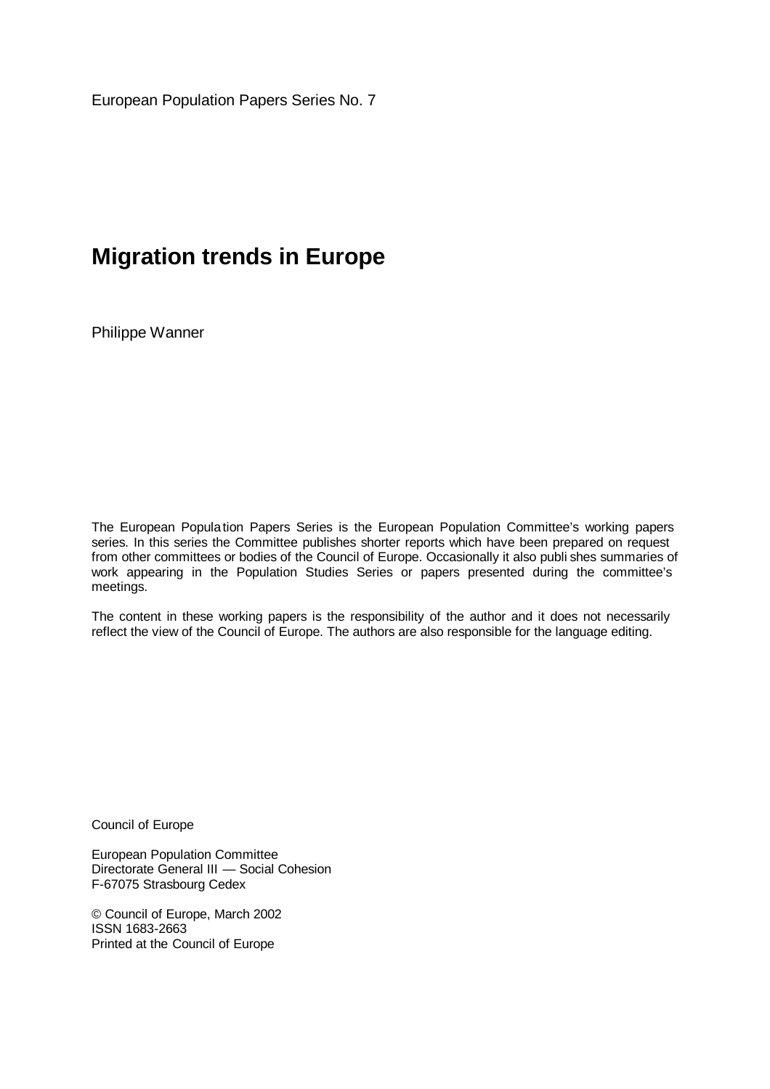European Population Papers Series No. 7

## **Migration trends in Europe**

Philippe Wanner

The European Population Papers Series is the European Population Committee's working papers series. In this series the Committee publishes shorter reports which have been prepared on request from other committees or bodies of the Council of Europe. Occasionally it also publi shes summaries of work appearing in the Population Studies Series or papers presented during the committee's meetings.

The content in these working papers is the responsibility of the author and it does not necessarily reflect the view of the Council of Europe. The authors are also responsible for the language editing.

Council of Europe

European Population Committee Directorate General III — Social Cohesion F-67075 Strasbourg Cedex

© Council of Europe, March 2002 ISSN 1683-2663 Printed at the Council of Europe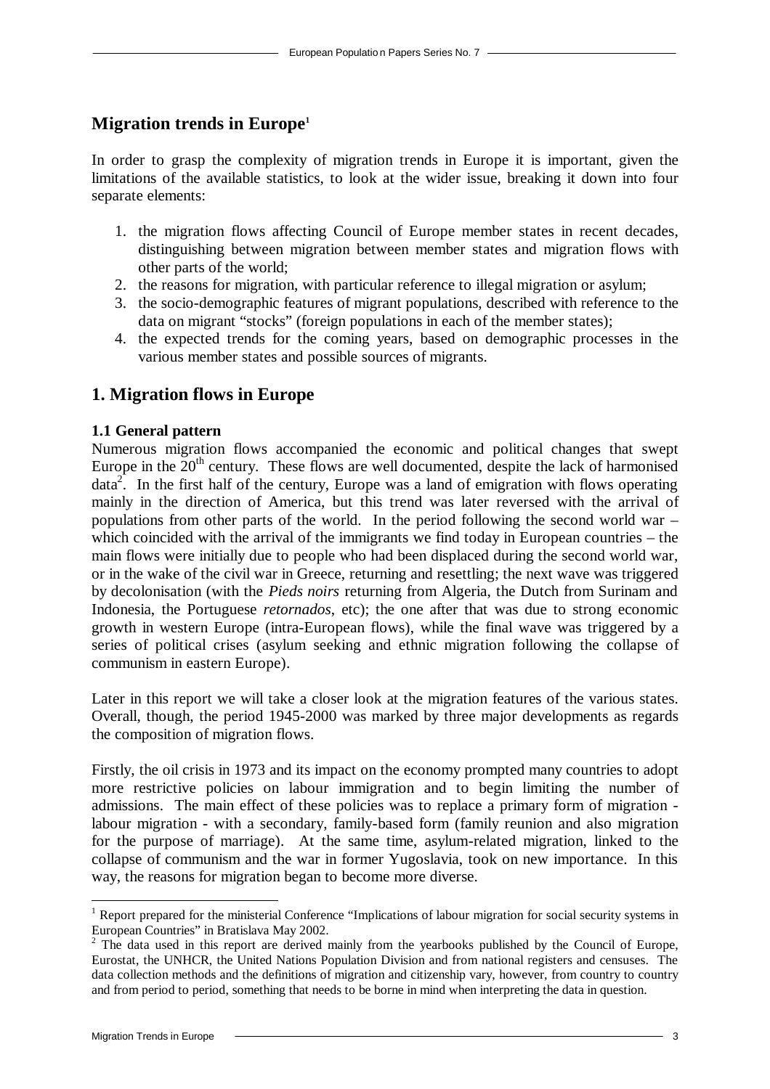## **Migration trends in Europe<sup>1</sup>**

In order to grasp the complexity of migration trends in Europe it is important, given the limitations of the available statistics, to look at the wider issue, breaking it down into four separate elements:

- 1. the migration flows affecting Council of Europe member states in recent decades, distinguishing between migration between member states and migration flows with other parts of the world;
- 2. the reasons for migration, with particular reference to illegal migration or asylum;
- 3. the socio-demographic features of migrant populations, described with reference to the data on migrant "stocks" (foreign populations in each of the member states);
- 4. the expected trends for the coming years, based on demographic processes in the various member states and possible sources of migrants.

## **1. Migration flows in Europe**

## **1.1 General pattern**

Numerous migration flows accompanied the economic and political changes that swept Europe in the  $20<sup>th</sup>$  century. These flows are well documented, despite the lack of harmonised data<sup>2</sup>. In the first half of the century, Europe was a land of emigration with flows operating mainly in the direction of America, but this trend was later reversed with the arrival of populations from other parts of the world. In the period following the second world war – which coincided with the arrival of the immigrants we find today in European countries – the main flows were initially due to people who had been displaced during the second world war, or in the wake of the civil war in Greece, returning and resettling; the next wave was triggered by decolonisation (with the *Pieds noirs* returning from Algeria, the Dutch from Surinam and Indonesia, the Portuguese *retornados*, etc); the one after that was due to strong economic growth in western Europe (intra-European flows), while the final wave was triggered by a series of political crises (asylum seeking and ethnic migration following the collapse of communism in eastern Europe).

Later in this report we will take a closer look at the migration features of the various states. Overall, though, the period 1945-2000 was marked by three major developments as regards the composition of migration flows.

Firstly, the oil crisis in 1973 and its impact on the economy prompted many countries to adopt more restrictive policies on labour immigration and to begin limiting the number of admissions. The main effect of these policies was to replace a primary form of migration labour migration - with a secondary, family-based form (family reunion and also migration for the purpose of marriage). At the same time, asylum-related migration, linked to the collapse of communism and the war in former Yugoslavia, took on new importance. In this way, the reasons for migration began to become more diverse.

 $\overline{a}$ <sup>1</sup> Report prepared for the ministerial Conference "Implications of labour migration for social security systems in European Countries" in Bratislava May 2002.

<sup>2</sup> The data used in this report are derived mainly from the yearbooks published by the Council of Europe, Eurostat, the UNHCR, the United Nations Population Division and from national registers and censuses. The data collection methods and the definitions of migration and citizenship vary, however, from country to country and from period to period, something that needs to be borne in mind when interpreting the data in question.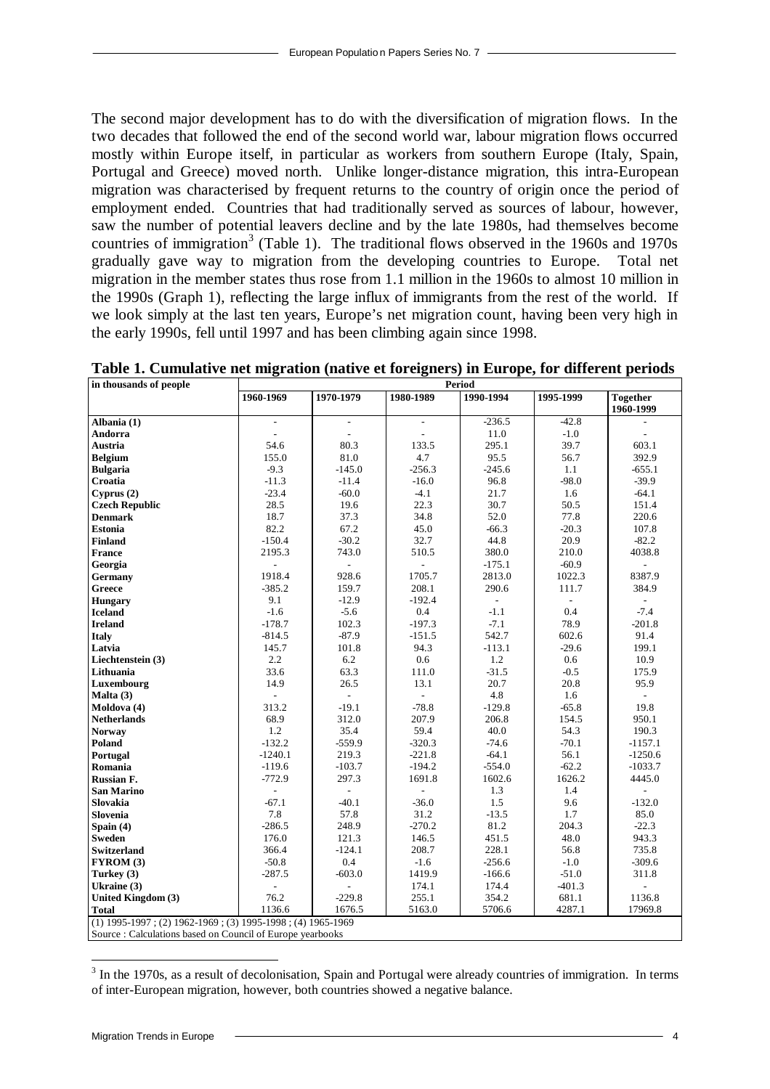The second major development has to do with the diversification of migration flows. In the two decades that followed the end of the second world war, labour migration flows occurred mostly within Europe itself, in particular as workers from southern Europe (Italy, Spain, Portugal and Greece) moved north. Unlike longer-distance migration, this intra-European migration was characterised by frequent returns to the country of origin once the period of employment ended. Countries that had traditionally served as sources of labour, however, saw the number of potential leavers decline and by the late 1980s, had themselves become countries of immigration<sup>3</sup> (Table 1). The traditional flows observed in the 1960s and 1970s gradually gave way to migration from the developing countries to Europe. Total net migration in the member states thus rose from 1.1 million in the 1960s to almost 10 million in the 1990s (Graph 1), reflecting the large influx of immigrants from the rest of the world. If we look simply at the last ten years, Europe's net migration count, having been very high in the early 1990s, fell until 1997 and has been climbing again since 1998.

| in thousands of people                                       |                |                          |                          | Period                   |                          |                          |
|--------------------------------------------------------------|----------------|--------------------------|--------------------------|--------------------------|--------------------------|--------------------------|
|                                                              | 1960-1969      | 1970-1979                | 1980-1989                | 1990-1994                | 1995-1999                | <b>Together</b>          |
|                                                              |                |                          |                          |                          |                          | 1960-1999                |
| Albania (1)                                                  | $\overline{a}$ | $\overline{\phantom{a}}$ | $\overline{\phantom{a}}$ | $-236.5$                 | $-42.8$                  |                          |
| Andorra                                                      |                | $\overline{\phantom{a}}$ |                          | 11.0                     | $-1.0$                   |                          |
| Austria                                                      | 54.6           | 80.3                     | 133.5                    | 295.1                    | 39.7                     | 603.1                    |
| <b>Belgium</b>                                               | 155.0          | 81.0                     | 4.7                      | 95.5                     | 56.7                     | 392.9                    |
| <b>Bulgaria</b>                                              | $-9.3$         | $-145.0$                 | $-256.3$                 | $-245.6$                 | 1.1                      | $-655.1$                 |
| Croatia                                                      | $-11.3$        | $-11.4$                  | $-16.0$                  | 96.8                     | $-98.0$                  | $-39.9$                  |
| Cyprus (2)                                                   | $-23.4$        | $-60.0$                  | $-4.1$                   | 21.7                     | 1.6                      | $-64.1$                  |
| <b>Czech Republic</b>                                        | 28.5           | 19.6                     | 22.3                     | 30.7                     | 50.5                     | 151.4                    |
| <b>Denmark</b>                                               | 18.7           | 37.3                     | 34.8                     | 52.0                     | 77.8                     | 220.6                    |
| <b>Estonia</b>                                               | 82.2           | 67.2                     | 45.0                     | $-66.3$                  | $-20.3$                  | 107.8                    |
| <b>Finland</b>                                               | $-150.4$       | $-30.2$                  | 32.7                     | 44.8                     | 20.9                     | $-82.2$                  |
| <b>France</b>                                                | 2195.3         | 743.0                    | 510.5                    | 380.0                    | 210.0                    | 4038.8                   |
| Georgia                                                      |                | $\frac{1}{2}$            |                          | $-175.1$                 | $-60.9$                  | L.                       |
| Germany                                                      | 1918.4         | 928.6                    | 1705.7                   | 2813.0                   | 1022.3                   | 8387.9                   |
| Greece                                                       | $-385.2$       | 159.7                    | 208.1                    | 290.6                    | 111.7                    | 384.9                    |
| <b>Hungary</b>                                               | 9.1            | $-12.9$                  | $-192.4$                 | $\overline{\phantom{a}}$ | $\overline{\phantom{a}}$ |                          |
| <b>Iceland</b>                                               | $-1.6$         | $-5.6$                   | 0.4                      | $-1.1$                   | 0.4                      | $-7.4$                   |
| <b>Ireland</b>                                               | $-178.7$       | 102.3                    | $-197.3$                 | $-7.1$                   | 78.9                     | $-201.8$                 |
| <b>Italy</b>                                                 | $-814.5$       | $-87.9$                  | $-151.5$                 | 542.7                    | 602.6                    | 91.4                     |
| Latvia                                                       | 145.7          | 101.8                    | 94.3                     | $-113.1$                 | $-29.6$                  | 199.1                    |
| Liechtenstein (3)                                            | 2.2            | 6.2                      | 0.6                      | 1.2                      | 0.6                      | 10.9                     |
| Lithuania                                                    | 33.6           | 63.3                     | 111.0                    | $-31.5$                  | $-0.5$                   | 175.9                    |
| Luxembourg                                                   | 14.9           | 26.5                     | 13.1                     | 20.7                     | 20.8                     | 95.9                     |
| Malta $(3)$                                                  | $\frac{1}{2}$  | $\overline{\phantom{a}}$ | $\overline{a}$           | 4.8                      | 1.6                      | $\overline{\phantom{a}}$ |
| Moldova (4)                                                  | 313.2          | $-19.1$                  | $-78.8$                  | $-129.8$                 | $-65.8$                  | 19.8                     |
| <b>Netherlands</b>                                           | 68.9           | 312.0                    | 207.9                    | 206.8                    | 154.5                    | 950.1                    |
| <b>Norway</b>                                                | 1.2            | 35.4                     | 59.4                     | 40.0                     | 54.3                     | 190.3                    |
| Poland                                                       | $-132.2$       | $-559.9$                 | $-320.3$                 | $-74.6$                  | $-70.1$                  | $-1157.1$                |
| Portugal                                                     | $-1240.1$      | 219.3                    | $-221.8$                 | $-64.1$                  | 56.1                     | $-1250.6$                |
| Romania                                                      | $-119.6$       | $-103.7$                 | $-194.2$                 | $-554.0$                 | $-62.2$                  | $-1033.7$                |
| <b>Russian F.</b>                                            | $-772.9$       | 297.3                    | 1691.8                   | 1602.6                   | 1626.2                   | 4445.0                   |
| <b>San Marino</b>                                            |                | $\overline{a}$           |                          | 1.3                      | 1.4                      |                          |
| Slovakia                                                     | $-67.1$        | $-40.1$                  | $-36.0$                  | 1.5                      | 9.6                      | $-132.0$                 |
| Slovenia                                                     | 7.8            | 57.8                     | 31.2                     | $-13.5$                  | 1.7                      | 85.0                     |
| Spain (4)                                                    | $-286.5$       | 248.9                    | $-270.2$                 | 81.2                     | 204.3                    | $-22.3$                  |
| <b>Sweden</b>                                                | 176.0          | 121.3                    | 146.5                    | 451.5                    | 48.0                     | 943.3                    |
| <b>Switzerland</b>                                           | 366.4          | $-124.1$                 | 208.7                    | 228.1                    | 56.8                     | 735.8                    |
| FYROM (3)                                                    | $-50.8$        | 0.4                      | $-1.6$                   | $-256.6$                 | $-1.0$                   | $-309.6$                 |
| Turkey $(3)$                                                 | $-287.5$       | $-603.0$                 | 1419.9                   | $-166.6$                 | $-51.0$                  | 311.8                    |
| Ukraine (3)                                                  | L.             | $\overline{a}$           | 174.1                    | 174.4                    | $-401.3$                 |                          |
| United Kingdom (3)                                           | 76.2           | $-229.8$                 | 255.1                    | 354.2                    | 681.1                    | 1136.8                   |
| Total                                                        | 1136.6         | 1676.5                   | 5163.0                   | 5706.6                   | 4287.1                   | 17969.8                  |
| $(1)$ 1995-1997; (2) 1962-1969; (3) 1995-1998; (4) 1965-1969 |                |                          |                          |                          |                          |                          |
| Source : Calculations based on Council of Europe yearbooks   |                |                          |                          |                          |                          |                          |

**Table 1. Cumulative net migration (native et foreigners) in Europe, for different periods**

 $3$  In the 1970s, as a result of decolonisation, Spain and Portugal were already countries of immigration. In terms of inter-European migration, however, both countries showed a negative balance.

l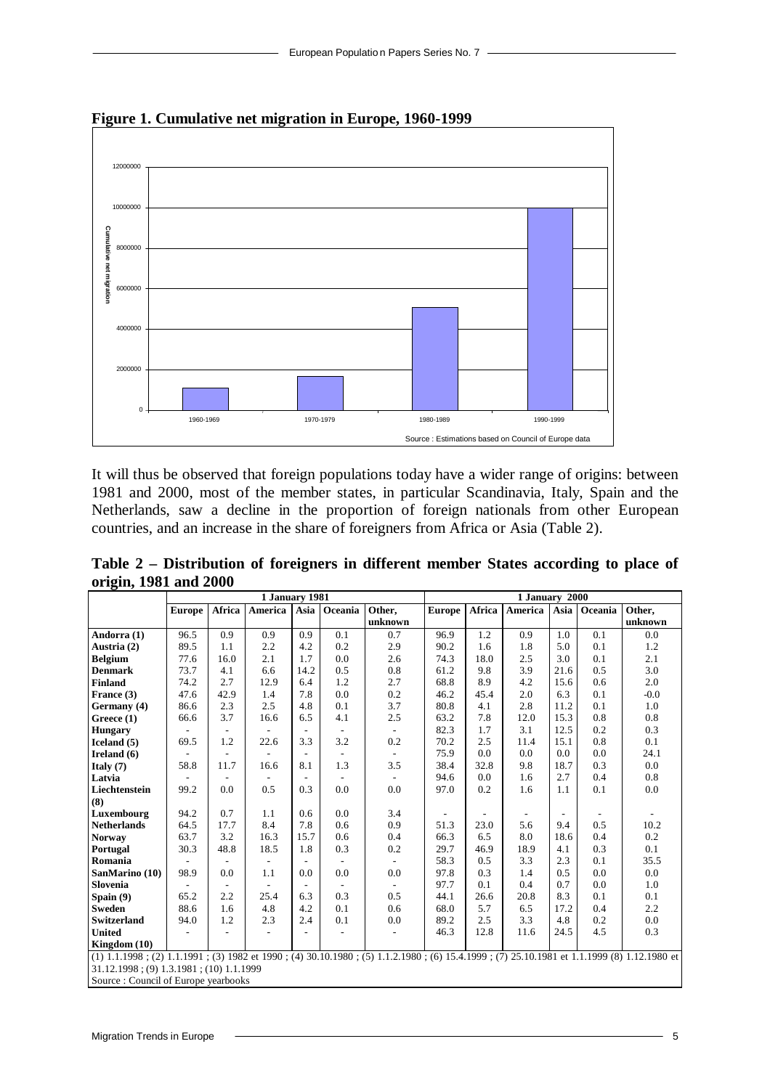

**Figure 1. Cumulative net migration in Europe, 1960-1999**

It will thus be observed that foreign populations today have a wider range of origins: between 1981 and 2000, most of the member states, in particular Scandinavia, Italy, Spain and the Netherlands, saw a decline in the proportion of foreign nationals from other European countries, and an increase in the share of foreigners from Africa or Asia (Table 2).

|                       | Table 2 – Distribution of foreigners in different member States according to place of |  |  |  |  |
|-----------------------|---------------------------------------------------------------------------------------|--|--|--|--|
| origin, 1981 and 2000 |                                                                                       |  |  |  |  |

|                                                                                                                                            |               |                          | 1 January 1981 |                          |                          |                          |               |               | 1 January 2000           |                          |         |         |
|--------------------------------------------------------------------------------------------------------------------------------------------|---------------|--------------------------|----------------|--------------------------|--------------------------|--------------------------|---------------|---------------|--------------------------|--------------------------|---------|---------|
|                                                                                                                                            | <b>Europe</b> | Africa                   | America        | Asia                     | Oceania                  | Other,                   | <b>Europe</b> | <b>Africa</b> | America                  | Asia                     | Oceania | Other.  |
|                                                                                                                                            |               |                          |                |                          |                          | unknown                  |               |               |                          |                          |         | unknown |
| Andorra (1)                                                                                                                                | 96.5          | 0.9                      | 0.9            | 0.9                      | 0.1                      | 0.7                      | 96.9          | 1.2           | 0.9                      | 1.0                      | 0.1     | 0.0     |
| Austria (2)                                                                                                                                | 89.5          | 1.1                      | 2.2            | 4.2                      | 0.2                      | 2.9                      | 90.2          | 1.6           | 1.8                      | 5.0                      | 0.1     | 1.2     |
| <b>Belgium</b>                                                                                                                             | 77.6          | 16.0                     | 2.1            | 1.7                      | 0.0                      | 2.6                      | 74.3          | 18.0          | 2.5                      | 3.0                      | 0.1     | 2.1     |
| <b>Denmark</b>                                                                                                                             | 73.7          | 4.1                      | 6.6            | 14.2                     | 0.5                      | 0.8                      | 61.2          | 9.8           | 3.9                      | 21.6                     | 0.5     | 3.0     |
| <b>Finland</b>                                                                                                                             | 74.2          | 2.7                      | 12.9           | 6.4                      | 1.2                      | 2.7                      | 68.8          | 8.9           | 4.2                      | 15.6                     | 0.6     | 2.0     |
| France (3)                                                                                                                                 | 47.6          | 42.9                     | 1.4            | 7.8                      | 0.0                      | 0.2                      | 46.2          | 45.4          | 2.0                      | 6.3                      | 0.1     | $-0.0$  |
| Germany (4)                                                                                                                                | 86.6          | 2.3                      | 2.5            | 4.8                      | 0.1                      | 3.7                      | 80.8          | 4.1           | 2.8                      | 11.2                     | 0.1     | 1.0     |
| Greece (1)                                                                                                                                 | 66.6          | 3.7                      | 16.6           | 6.5                      | 4.1                      | 2.5                      | 63.2          | 7.8           | 12.0                     | 15.3                     | 0.8     | 0.8     |
| <b>Hungary</b>                                                                                                                             |               | $\overline{\phantom{a}}$ |                | $\overline{\phantom{a}}$ | $\overline{\phantom{a}}$ | $\overline{\phantom{a}}$ | 82.3          | 1.7           | 3.1                      | 12.5                     | 0.2     | 0.3     |
| Iceland $(5)$                                                                                                                              | 69.5          | 1.2                      | 22.6           | 3.3                      | 3.2                      | 0.2                      | 70.2          | 2.5           | 11.4                     | 15.1                     | 0.8     | 0.1     |
| Ireland $(6)$                                                                                                                              |               | $\overline{\phantom{a}}$ |                |                          |                          | $\overline{\phantom{a}}$ | 75.9          | 0.0           | 0.0                      | 0.0                      | 0.0     | 24.1    |
| Italy $(7)$                                                                                                                                | 58.8          | 11.7                     | 16.6           | 8.1                      | 1.3                      | 3.5                      | 38.4          | 32.8          | 9.8                      | 18.7                     | 0.3     | 0.0     |
| Latvia                                                                                                                                     |               | $\overline{\phantom{a}}$ |                |                          |                          | $\sim$                   | 94.6          | 0.0           | 1.6                      | 2.7                      | 0.4     | 0.8     |
| Liechtenstein                                                                                                                              | 99.2          | 0.0                      | 0.5            | 0.3                      | 0.0                      | 0.0                      | 97.0          | 0.2           | 1.6                      | 1.1                      | 0.1     | 0.0     |
| (8)                                                                                                                                        |               |                          |                |                          |                          |                          |               |               |                          |                          |         |         |
| Luxembourg                                                                                                                                 | 94.2          | 0.7                      | 1.1            | 0.6                      | 0.0                      | 3.4                      |               |               | $\overline{\phantom{a}}$ | $\overline{\phantom{a}}$ |         |         |
| <b>Netherlands</b>                                                                                                                         | 64.5          | 17.7                     | 8.4            | 7.8                      | 0.6                      | 0.9                      | 51.3          | 23.0          | 5.6                      | 9.4                      | 0.5     | 10.2    |
| <b>Norway</b>                                                                                                                              | 63.7          | 3.2                      | 16.3           | 15.7                     | 0.6                      | 0.4                      | 66.3          | 6.5           | 8.0                      | 18.6                     | 0.4     | 0.2     |
| Portugal                                                                                                                                   | 30.3          | 48.8                     | 18.5           | 1.8                      | 0.3                      | 0.2                      | 29.7          | 46.9          | 18.9                     | 4.1                      | 0.3     | 0.1     |
| Romania                                                                                                                                    |               |                          |                |                          |                          |                          | 58.3          | 0.5           | 3.3                      | 2.3                      | 0.1     | 35.5    |
| SanMarino (10)                                                                                                                             | 98.9          | 0.0                      | 1.1            | 0.0                      | 0.0                      | 0.0                      | 97.8          | 0.3           | 1.4                      | 0.5                      | 0.0     | 0.0     |
| <b>Slovenia</b>                                                                                                                            |               | $\overline{\phantom{a}}$ |                | $\sim$                   |                          | $\overline{\phantom{a}}$ | 97.7          | 0.1           | 0.4                      | 0.7                      | 0.0     | 1.0     |
| Spain $(9)$                                                                                                                                | 65.2          | 2.2                      | 25.4           | 6.3                      | 0.3                      | 0.5                      | 44.1          | 26.6          | 20.8                     | 8.3                      | 0.1     | 0.1     |
| <b>Sweden</b>                                                                                                                              | 88.6          | 1.6                      | 4.8            | 4.2                      | 0.1                      | 0.6                      | 68.0          | 5.7           | 6.5                      | 17.2                     | 0.4     | 2.2     |
| <b>Switzerland</b>                                                                                                                         | 94.0          | 1.2                      | 2.3            | 2.4                      | 0.1                      | 0.0                      | 89.2          | 2.5           | 3.3                      | 4.8                      | 0.2     | 0.0     |
| <b>United</b>                                                                                                                              |               | ٠                        |                |                          | $\overline{\phantom{a}}$ | $\overline{\phantom{a}}$ | 46.3          | 12.8          | 11.6                     | 24.5                     | 4.5     | 0.3     |
| Kingdom $(10)$                                                                                                                             |               |                          |                |                          |                          |                          |               |               |                          |                          |         |         |
| $(1)$ 1.1.1998; (2) 1.1.1991; (3) 1982 et 1990; (4) 30.10.1980; (5) 1.1.2.1980; (6) 15.4.1999; (7) 25.10.1981 et 1.1.1999 (8) 1.12.1980 et |               |                          |                |                          |                          |                          |               |               |                          |                          |         |         |
| $31.12.1998$ ; (9) $1.3.1981$ ; (10) $1.1.1999$                                                                                            |               |                          |                |                          |                          |                          |               |               |                          |                          |         |         |
| Source: Council of Europe yearbooks                                                                                                        |               |                          |                |                          |                          |                          |               |               |                          |                          |         |         |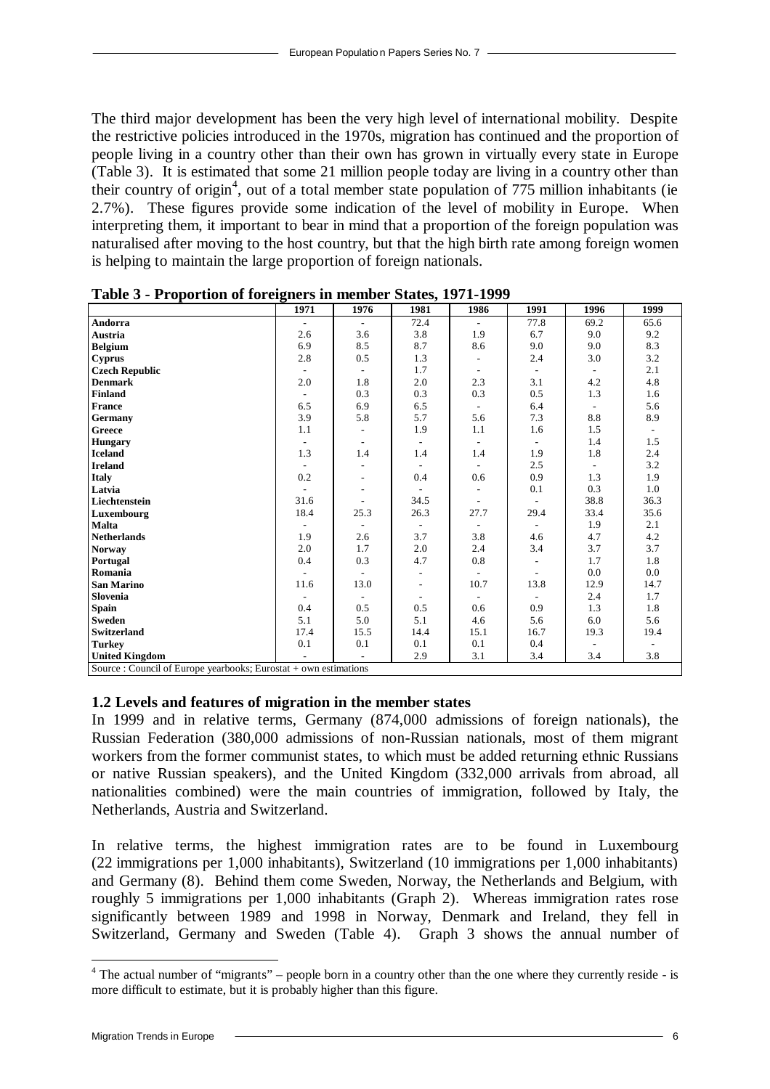The third major development has been the very high level of international mobility. Despite the restrictive policies introduced in the 1970s, migration has continued and the proportion of people living in a country other than their own has grown in virtually every state in Europe (Table 3). It is estimated that some 21 million people today are living in a country other than their country of origin<sup>4</sup>, out of a total member state population of 775 million inhabitants (ie 2.7%). These figures provide some indication of the level of mobility in Europe. When interpreting them, it important to bear in mind that a proportion of the foreign population was naturalised after moving to the host country, but that the high birth rate among foreign women is helping to maintain the large proportion of foreign nationals.

|                                                                    | ັ<br>1971      | 1976                     | 1981                     | 1986                        | 1991                     | 1996 | 1999 |
|--------------------------------------------------------------------|----------------|--------------------------|--------------------------|-----------------------------|--------------------------|------|------|
| Andorra                                                            | $\blacksquare$ | $\overline{\phantom{a}}$ | 72.4                     | $\overline{\phantom{a}}$    | 77.8                     | 69.2 | 65.6 |
| Austria                                                            | 2.6            | 3.6                      | 3.8                      | 1.9                         | 6.7                      | 9.0  | 9.2  |
| <b>Belgium</b>                                                     | 6.9            | 8.5                      | 8.7                      | 8.6                         | 9.0                      | 9.0  | 8.3  |
| <b>Cyprus</b>                                                      | 2.8            | 0.5                      | 1.3                      |                             | 2.4                      | 3.0  | 3.2  |
| <b>Czech Republic</b>                                              | $\sim$         |                          | 1.7                      | $\sim$                      | $\overline{\phantom{a}}$ |      | 2.1  |
| <b>Denmark</b>                                                     | 2.0            | 1.8                      | 2.0                      | 2.3                         | 3.1                      | 4.2  | 4.8  |
| <b>Finland</b>                                                     |                | 0.3                      | 0.3                      | 0.3                         | 0.5                      | 1.3  | 1.6  |
| <b>France</b>                                                      | 6.5            | 6.9                      | 6.5                      |                             | 6.4                      |      | 5.6  |
| Germany                                                            | 3.9            | 5.8                      | 5.7                      | 5.6                         | 7.3                      | 8.8  | 8.9  |
| Greece                                                             | 1.1            | $\sim$                   | 1.9                      | 1.1                         | 1.6                      | 1.5  |      |
| <b>Hungary</b>                                                     | $\blacksquare$ | $\overline{\phantom{a}}$ | $\overline{\phantom{a}}$ | $\sim$                      | $\overline{\phantom{a}}$ | 1.4  | 1.5  |
| <b>Iceland</b>                                                     | 1.3            | 1.4                      | 1.4                      | 1.4                         | 1.9                      | 1.8  | 2.4  |
| <b>Ireland</b>                                                     |                |                          |                          |                             | 2.5                      |      | 3.2  |
| <b>Italy</b>                                                       | 0.2            |                          | 0.4                      | 0.6                         | 0.9                      | 1.3  | 1.9  |
| Latvia                                                             | $\blacksquare$ | $\sim$                   | $\overline{\phantom{a}}$ | $\mathcal{L}_{\mathcal{A}}$ | 0.1                      | 0.3  | 1.0  |
| Liechtenstein                                                      | 31.6           |                          | 34.5                     | $\overline{\phantom{a}}$    | ۰                        | 38.8 | 36.3 |
| Luxembourg                                                         | 18.4           | 25.3                     | 26.3                     | 27.7                        | 29.4                     | 33.4 | 35.6 |
| Malta                                                              |                |                          |                          |                             |                          | 1.9  | 2.1  |
| <b>Netherlands</b>                                                 | 1.9            | 2.6                      | 3.7                      | 3.8                         | 4.6                      | 4.7  | 4.2  |
| <b>Norway</b>                                                      | 2.0            | 1.7                      | 2.0                      | 2.4                         | 3.4                      | 3.7  | 3.7  |
| Portugal                                                           | 0.4            | 0.3                      | 4.7                      | $0.8\,$                     |                          | 1.7  | 1.8  |
| Romania                                                            | ÷.             | $\sim$                   |                          | $\sim$                      | ۰                        | 0.0  | 0.0  |
| <b>San Marino</b>                                                  | 11.6           | 13.0                     | $\overline{\phantom{a}}$ | 10.7                        | 13.8                     | 12.9 | 14.7 |
| Slovenia                                                           |                |                          |                          | $\sim$                      | $\sim$                   | 2.4  | 1.7  |
| Spain                                                              | 0.4            | 0.5                      | 0.5                      | 0.6                         | 0.9                      | 1.3  | 1.8  |
| <b>Sweden</b>                                                      | 5.1            | 5.0                      | 5.1                      | 4.6                         | 5.6                      | 6.0  | 5.6  |
| <b>Switzerland</b>                                                 | 17.4           | 15.5                     | 14.4                     | 15.1                        | 16.7                     | 19.3 | 19.4 |
| <b>Turkey</b>                                                      | 0.1            | 0.1                      | 0.1                      | 0.1                         | 0.4                      |      |      |
| <b>United Kingdom</b>                                              |                |                          | 2.9                      | 3.1                         | 3.4                      | 3.4  | 3.8  |
| Source : Council of Europe yearbooks; Eurostat $+$ own estimations |                |                          |                          |                             |                          |      |      |

**Table 3 - Proportion of foreigners in member States, 1971-1999**

**1.2 Levels and features of migration in the member states**

In 1999 and in relative terms, Germany (874,000 admissions of foreign nationals), the Russian Federation (380,000 admissions of non-Russian nationals, most of them migrant workers from the former communist states, to which must be added returning ethnic Russians or native Russian speakers), and the United Kingdom (332,000 arrivals from abroad, all nationalities combined) were the main countries of immigration, followed by Italy, the Netherlands, Austria and Switzerland.

In relative terms, the highest immigration rates are to be found in Luxembourg (22 immigrations per 1,000 inhabitants), Switzerland (10 immigrations per 1,000 inhabitants) and Germany (8). Behind them come Sweden, Norway, the Netherlands and Belgium, with roughly 5 immigrations per 1,000 inhabitants (Graph 2). Whereas immigration rates rose significantly between 1989 and 1998 in Norway, Denmark and Ireland, they fell in Switzerland, Germany and Sweden (Table 4). Graph 3 shows the annual number of

<sup>&</sup>lt;sup>4</sup> The actual number of "migrants" – people born in a country other than the one where they currently reside - is more difficult to estimate, but it is probably higher than this figure.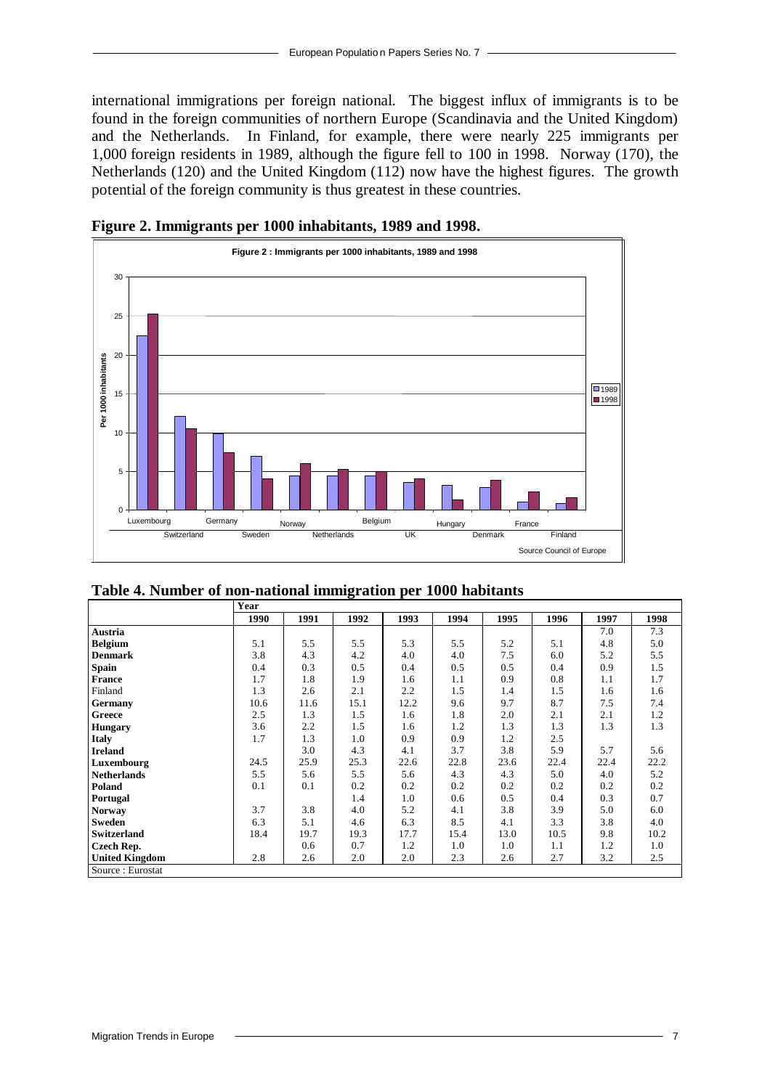international immigrations per foreign national. The biggest influx of immigrants is to be found in the foreign communities of northern Europe (Scandinavia and the United Kingdom) and the Netherlands. In Finland, for example, there were nearly 225 immigrants per 1,000 foreign residents in 1989, although the figure fell to 100 in 1998. Norway (170), the Netherlands (120) and the United Kingdom (112) now have the highest figures. The growth potential of the foreign community is thus greatest in these countries.



**Figure 2. Immigrants per 1000 inhabitants, 1989 and 1998.**

|                       | Year |      |      |      |      |      |      |      |      |
|-----------------------|------|------|------|------|------|------|------|------|------|
|                       | 1990 | 1991 | 1992 | 1993 | 1994 | 1995 | 1996 | 1997 | 1998 |
| Austria               |      |      |      |      |      |      |      | 7.0  | 7.3  |
| <b>Belgium</b>        | 5.1  | 5.5  | 5.5  | 5.3  | 5.5  | 5.2  | 5.1  | 4.8  | 5.0  |
| <b>Denmark</b>        | 3.8  | 4.3  | 4.2  | 4.0  | 4.0  | 7.5  | 6.0  | 5.2  | 5.5  |
| <b>Spain</b>          | 0.4  | 0.3  | 0.5  | 0.4  | 0.5  | 0.5  | 0.4  | 0.9  | 1.5  |
| <b>France</b>         | 1.7  | 1.8  | 1.9  | 1.6  | 1.1  | 0.9  | 0.8  | 1.1  | 1.7  |
| Finland               | 1.3  | 2.6  | 2.1  | 2.2  | 1.5  | 1.4  | 1.5  | 1.6  | 1.6  |
| <b>Germany</b>        | 10.6 | 11.6 | 15.1 | 12.2 | 9.6  | 9.7  | 8.7  | 7.5  | 7.4  |
| Greece                | 2.5  | 1.3  | 1.5  | 1.6  | 1.8  | 2.0  | 2.1  | 2.1  | 1.2  |
| <b>Hungary</b>        | 3.6  | 2.2  | 1.5  | 1.6  | 1.2  | 1.3  | 1.3  | 1.3  | 1.3  |
| <b>Italy</b>          | 1.7  | 1.3  | 1.0  | 0.9  | 0.9  | 1.2  | 2.5  |      |      |
| <b>Ireland</b>        |      | 3.0  | 4.3  | 4.1  | 3.7  | 3.8  | 5.9  | 5.7  | 5.6  |
| Luxembourg            | 24.5 | 25.9 | 25.3 | 22.6 | 22.8 | 23.6 | 22.4 | 22.4 | 22.2 |
| <b>Netherlands</b>    | 5.5  | 5.6  | 5.5  | 5.6  | 4.3  | 4.3  | 5.0  | 4.0  | 5.2  |
| Poland                | 0.1  | 0.1  | 0.2  | 0.2  | 0.2  | 0.2  | 0.2  | 0.2  | 0.2  |
| Portugal              |      |      | 1.4  | 1.0  | 0.6  | 0.5  | 0.4  | 0.3  | 0.7  |
| <b>Norway</b>         | 3.7  | 3.8  | 4.0  | 5.2  | 4.1  | 3.8  | 3.9  | 5.0  | 6.0  |
| <b>Sweden</b>         | 6.3  | 5.1  | 4.6  | 6.3  | 8.5  | 4.1  | 3.3  | 3.8  | 4.0  |
| Switzerland           | 18.4 | 19.7 | 19.3 | 17.7 | 15.4 | 13.0 | 10.5 | 9.8  | 10.2 |
| Czech Rep.            |      | 0.6  | 0.7  | 1.2  | 1.0  | 1.0  | 1.1  | 1.2  | 1.0  |
| <b>United Kingdom</b> | 2.8  | 2.6  | 2.0  | 2.0  | 2.3  | 2.6  | 2.7  | 3.2  | 2.5  |
| Source: Eurostat      |      |      |      |      |      |      |      |      |      |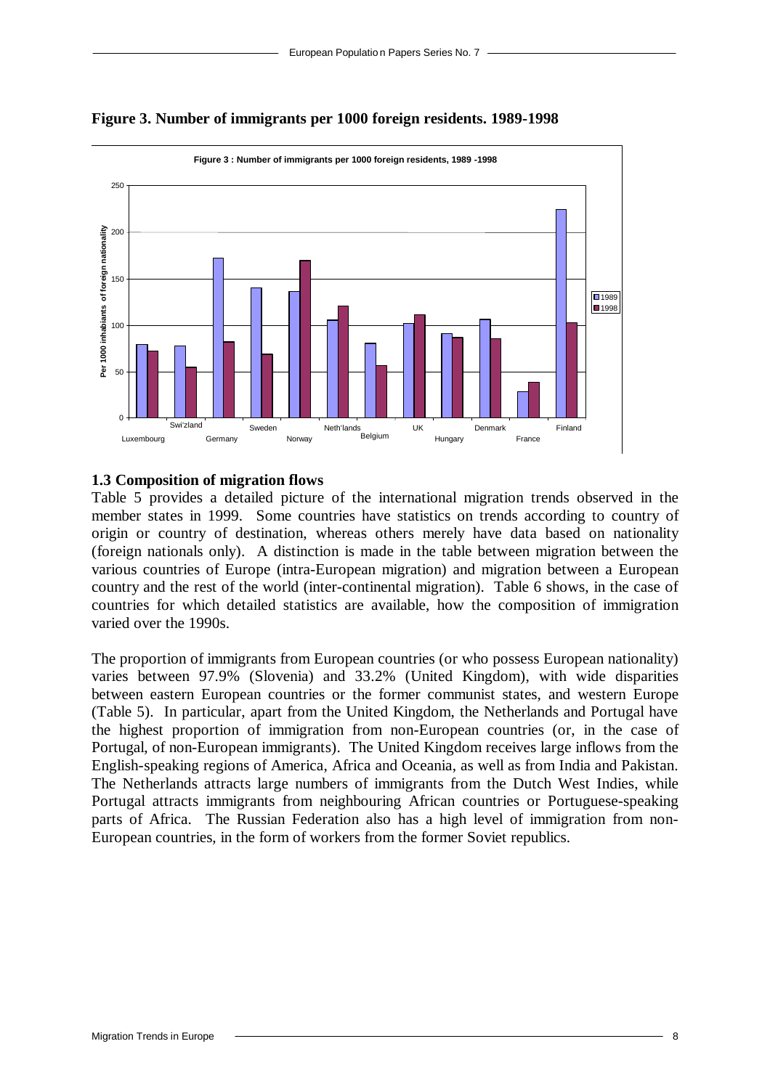

**Figure 3. Number of immigrants per 1000 foreign residents. 1989-1998**

#### **1.3 Composition of migration flows**

Table 5 provides a detailed picture of the international migration trends observed in the member states in 1999. Some countries have statistics on trends according to country of origin or country of destination, whereas others merely have data based on nationality (foreign nationals only). A distinction is made in the table between migration between the various countries of Europe (intra-European migration) and migration between a European country and the rest of the world (inter-continental migration). Table 6 shows, in the case of countries for which detailed statistics are available, how the composition of immigration varied over the 1990s.

The proportion of immigrants from European countries (or who possess European nationality) varies between 97.9% (Slovenia) and 33.2% (United Kingdom), with wide disparities between eastern European countries or the former communist states, and western Europe (Table 5). In particular, apart from the United Kingdom, the Netherlands and Portugal have the highest proportion of immigration from non-European countries (or, in the case of Portugal, of non-European immigrants). The United Kingdom receives large inflows from the English-speaking regions of America, Africa and Oceania, as well as from India and Pakistan. The Netherlands attracts large numbers of immigrants from the Dutch West Indies, while Portugal attracts immigrants from neighbouring African countries or Portuguese-speaking parts of Africa. The Russian Federation also has a high level of immigration from non-European countries, in the form of workers from the former Soviet republics.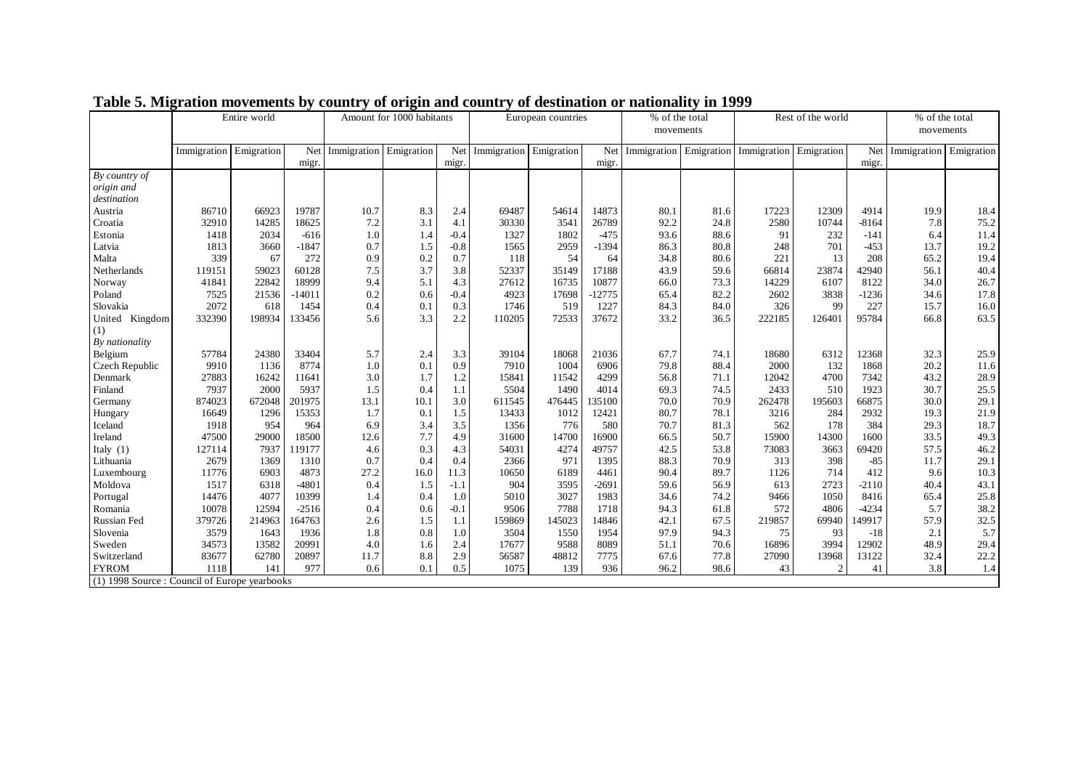|                                               | Entire world |            |          | Amount for 1000 habitants |            | European countries |                        | % of the total |          | Rest of the world      |      | % of the total |               |         |             |            |
|-----------------------------------------------|--------------|------------|----------|---------------------------|------------|--------------------|------------------------|----------------|----------|------------------------|------|----------------|---------------|---------|-------------|------------|
|                                               |              |            |          |                           |            |                    |                        |                |          | movements              |      |                |               |         | movements   |            |
|                                               |              |            |          |                           |            |                    |                        |                |          |                        |      |                |               |         |             |            |
|                                               | Immigration  | Emigration | Net      | Immigration               | Emigration | Net                | Immigration Emigration |                | Net      | Immigration Emigration |      | Immigration    | Emigration    | Net     | Immigration | Emigration |
|                                               |              |            | migr.    |                           |            | migr.              |                        |                | migr.    |                        |      |                |               | migr.   |             |            |
| By country of                                 |              |            |          |                           |            |                    |                        |                |          |                        |      |                |               |         |             |            |
| origin and                                    |              |            |          |                           |            |                    |                        |                |          |                        |      |                |               |         |             |            |
| destination                                   |              |            |          |                           |            |                    |                        |                |          |                        |      |                |               |         |             |            |
| Austria                                       | 86710        | 66923      | 19787    | 10.7                      | 8.3        | 2.4                | 69487                  | 54614          | 14873    | 80.1                   | 81.6 | 17223          | 12309         | 4914    | 19.9        | 18.4       |
| Croatia                                       | 32910        | 14285      | 18625    | 7.2                       | 3.1        | 4.1                | 30330                  | 3541           | 26789    | 92.2                   | 24.8 | 2580           | 10744         | $-8164$ | 7.8         | 75.2       |
| Estonia                                       | 1418         | 2034       | $-616$   | 1.0                       | 1.4        | $-0.4$             | 1327                   | 1802           | $-475$   | 93.6                   | 88.6 | 91             | 232           | $-141$  | 6.4         | 11.4       |
| Latvia                                        | 1813         | 3660       | $-1847$  | 0.7                       | 1.5        | $-0.8$             | 1565                   | 2959           | $-1394$  | 86.3                   | 80.8 | 248            | 701           | $-453$  | 13.7        | 19.2       |
| Malta                                         | 339          | 67         | 272      | 0.9                       | 0.2        | 0.7                | 118                    | 54             | 64       | 34.8                   | 80.6 | 221            | 13            | 208     | 65.2        | 19.4       |
| Netherlands                                   | 119151       | 59023      | 60128    | 7.5                       | 3.7        | 3.8                | 52337                  | 35149          | 17188    | 43.9                   | 59.6 | 66814          | 23874         | 42940   | 56.1        | 40.4       |
| Norway                                        | 41841        | 22842      | 18999    | 9.4                       | 5.1        | 4.3                | 27612                  | 16735          | 10877    | 66.0                   | 73.3 | 14229          | 6107          | 8122    | 34.0        | 26.7       |
| Poland                                        | 7525         | 21536      | $-14011$ | 0.2                       | 0.6        | $-0.4$             | 4923                   | 17698          | $-12775$ | 65.4                   | 82.2 | 2602           | 3838          | $-1236$ | 34.6        | 17.8       |
| Slovakia                                      | 2072         | 618        | 1454     | 0.4                       | 0.1        | 0.3                | 1746                   | 519            | 1227     | 84.3                   | 84.0 | 326            | 99            | 227     | 15.7        | 16.0       |
| United Kingdom                                | 332390       | 198934     | 133456   | 5.6                       | 3.3        | 2.2                | 110205                 | 72533          | 37672    | 33.2                   | 36.5 | 222185         | 126401        | 95784   | 66.8        | 63.5       |
| (1)                                           |              |            |          |                           |            |                    |                        |                |          |                        |      |                |               |         |             |            |
| By nationality                                |              |            |          |                           |            |                    |                        |                |          |                        |      |                |               |         |             |            |
| Belgium                                       | 57784        | 24380      | 33404    | 5.7                       | 2.4        | 3.3                | 39104                  | 18068          | 21036    | 67.7                   | 74.1 | 18680          | 6312          | 12368   | 32.3        | 25.9       |
| Czech Republic                                | 9910         | 1136       | 8774     | 1.0                       | 0.1        | 0.9                | 7910                   | 1004           | 6906     | 79.8                   | 88.4 | 2000           | 132           | 1868    | 20.2        | 11.6       |
| Denmark                                       | 27883        | 16242      | 11641    | 3.0                       | 1.7        | 1.2                | 15841                  | 11542          | 4299     | 56.8                   | 71.1 | 12042          | 4700          | 7342    | 43.2        | 28.9       |
| Finland                                       | 7937         | 2000       | 5937     | 1.5                       | 0.4        | 1.1                | 5504                   | 1490           | 4014     | 69.3                   | 74.5 | 2433           | 510           | 1923    | 30.7        | 25.5       |
| Germany                                       | 874023       | 672048     | 201975   | 13.1                      | 10.1       | 3.0                | 611545                 | 476445         | 135100   | 70.0                   | 70.9 | 262478         | 195603        | 66875   | 30.0        | 29.1       |
| Hungary                                       | 16649        | 1296       | 15353    | 1.7                       | 0.1        | 1.5                | 13433                  | 1012           | 12421    | 80.7                   | 78.1 | 3216           | 284           | 2932    | 19.3        | 21.9       |
| Iceland                                       | 1918         | 954        | 964      | 6.9                       | 3.4        | 3.5                | 1356                   | 776            | 580      | 70.7                   | 81.3 | 562            | 178           | 384     | 29.3        | 18.7       |
| Ireland                                       | 47500        | 29000      | 18500    | 12.6                      | 7.7        | 4.9                | 31600                  | 14700          | 16900    | 66.5                   | 50.7 | 15900          | 14300         | 1600    | 33.5        | 49.3       |
| Italy $(1)$                                   | 127114       | 7937       | 19177    | 4.6                       | 0.3        | 4.3                | 54031                  | 4274           | 49757    | 42.5                   | 53.8 | 73083          | 3663          | 69420   | 57.5        | 46.2       |
| Lithuania                                     | 2679         | 1369       | 1310     | 0.7                       | 0.4        | 0.4                | 2366                   | 971            | 1395     | 88.3                   | 70.9 | 313            | 398           | $-85$   | 11.7        | 29.1       |
| Luxembourg                                    | 11776        | 6903       | 4873     | 27.2                      | 16.0       | 11.3               | 10650                  | 6189           | 4461     | 90.4                   | 89.7 | 1126           | 714           | 412     | 9.6         | 10.3       |
| Moldova                                       | 1517         | 6318       | $-4801$  | 0.4                       | 1.5        | $-1.1$             | 904                    | 3595           | $-2691$  | 59.6                   | 56.9 | 613            | 2723          | $-2110$ | 40.4        | 43.1       |
| Portugal                                      | 14476        | 4077       | 10399    | 1.4                       | 0.4        | 1.0                | 5010                   | 3027           | 1983     | 34.6                   | 74.2 | 9466           | 1050          | 8416    | 65.4        | 25.8       |
| Romania                                       | 10078        | 12594      | $-2516$  | 0.4                       | 0.6        | $-0.1$             | 9506                   | 7788           | 1718     | 94.3                   | 61.8 | 572            | 4806          | $-4234$ | 5.7         | 38.2       |
| <b>Russian Fed</b>                            | 379726       | 214963     | 164763   | 2.6                       | 1.5        | 1.1                | 159869                 | 145023         | 14846    | 42.1                   | 67.5 | 219857         | 69940         | 149917  | 57.9        | 32.5       |
| Slovenia                                      | 3579         | 1643       | 1936     | 1.8                       | 0.8        | 1.0                | 3504                   | 1550           | 1954     | 97.9                   | 94.3 | 75             | 93            | $-18$   | 2.1         | 5.7        |
| Sweden                                        | 34573        | 13582      | 20991    | 4.0                       | 1.6        | 2.4                | 17677                  | 9588           | 8089     | 51.1                   | 70.6 | 16896          | 3994          | 12902   | 48.9        | 29.4       |
| Switzerland                                   | 83677        | 62780      | 20897    | 11.7                      | 8.8        | 2.9                | 56587                  | 48812          | 7775     | 67.6                   | 77.8 | 27090          | 13968         | 13122   | 32.4        | 22.2       |
| <b>FYROM</b>                                  | 1118         | 141        | 977      | 0.6                       | 0.1        | 0.5                | 1075                   | 139            | 936      | 96.2                   | 98.6 | 43             | $\mathcal{I}$ | 41      | 3.8         | 1.4        |
| (1) 1998 Source : Council of Europe yearbooks |              |            |          |                           |            |                    |                        |                |          |                        |      |                |               |         |             |            |
|                                               |              |            |          |                           |            |                    |                        |                |          |                        |      |                |               |         |             |            |

|  | Table 5. Migration movements by country of origin and country of destination or nationality in 1999 |  |  |  |  |
|--|-----------------------------------------------------------------------------------------------------|--|--|--|--|
|  |                                                                                                     |  |  |  |  |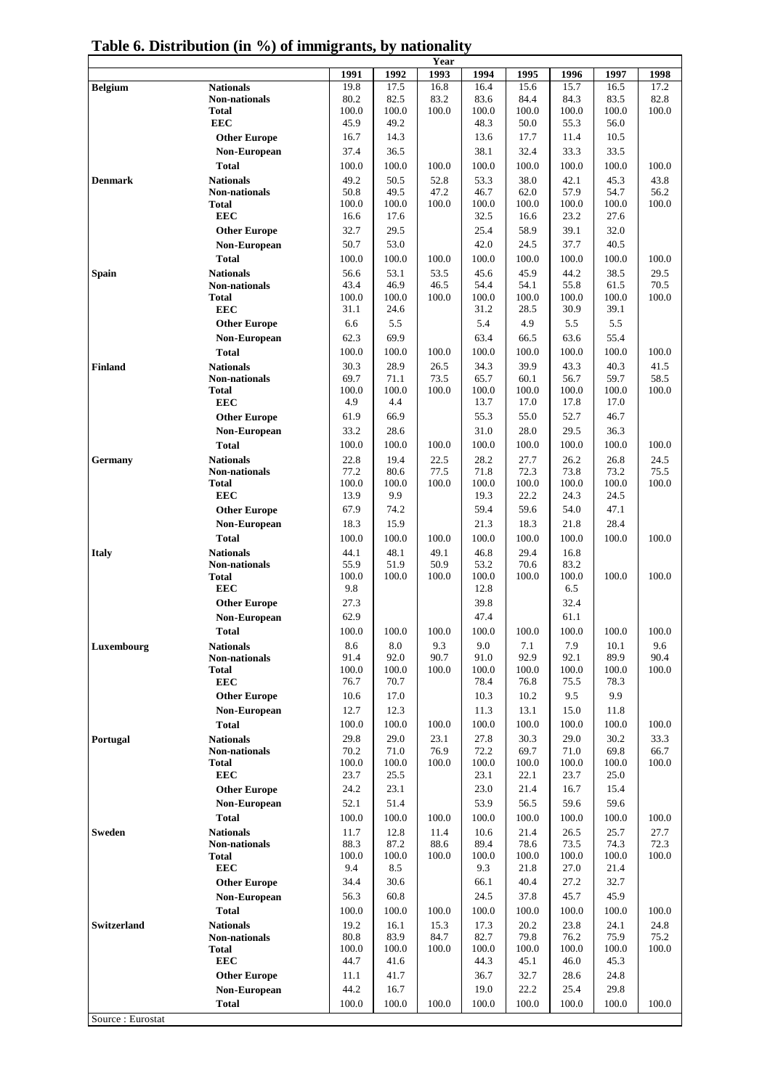|                         |                                          |               |               | Year          |               |               |               |               |               |
|-------------------------|------------------------------------------|---------------|---------------|---------------|---------------|---------------|---------------|---------------|---------------|
|                         |                                          | 1991          | 1992          | 1993          | 1994          | 1995          | 1996          | 1997          | 1998          |
| <b>Belgium</b>          | <b>Nationals</b>                         | 19.8          | 17.5          | 16.8          | 16.4          | 15.6          | 15.7          | 16.5          | 17.2          |
|                         | <b>Non-nationals</b>                     | 80.2          | 82.5          | 83.2          | 83.6          | 84.4          | 84.3          | 83.5          | 82.8          |
|                         | Total                                    | 100.0         | 100.0         | 100.0         | 100.0         | 100.0         | 100.0         | 100.0         | 100.0         |
|                         | <b>EEC</b>                               | 45.9          | 49.2          |               | 48.3          | 50.0          | 55.3          | 56.0          |               |
|                         | <b>Other Europe</b>                      | 16.7          | 14.3          |               | 13.6          | 17.7          | 11.4          | 10.5          |               |
|                         | Non-European                             | 37.4          | 36.5          |               | 38.1          | 32.4          | 33.3          | 33.5          |               |
|                         | <b>Total</b>                             | 100.0         | 100.0         | 100.0         | 100.0         | 100.0         | 100.0         | 100.0         | 100.0         |
| Denmark                 | <b>Nationals</b>                         | 49.2          | 50.5          | 52.8          | 53.3          | 38.0          | 42.1          | 45.3          | 43.8          |
|                         | <b>Non-nationals</b>                     | 50.8          | 49.5          | 47.2          | 46.7          | 62.0          | 57.9          | 54.7          | 56.2          |
|                         | <b>Total</b>                             | 100.0         | 100.0         | 100.0         | 100.0         | 100.0         | 100.0         | 100.0         | 100.0         |
|                         | <b>EEC</b>                               | 16.6          | 17.6          |               | 32.5          | 16.6          | 23.2          | 27.6          |               |
|                         | <b>Other Europe</b>                      | 32.7          | 29.5          |               | 25.4          | 58.9          | 39.1          | 32.0          |               |
|                         | Non-European                             | 50.7          | 53.0          |               | 42.0          | 24.5          | 37.7          | 40.5          |               |
|                         | <b>Total</b>                             | 100.0         | 100.0         | 100.0         | 100.0         | 100.0         | 100.0         | 100.0         | 100.0         |
| Spain                   | <b>Nationals</b>                         | 56.6          | 53.1          | 53.5          | 45.6          | 45.9          | 44.2          | 38.5          | 29.5          |
|                         | <b>Non-nationals</b>                     | 43.4          | 46.9          | 46.5          | 54.4          | 54.1          | 55.8          | 61.5          | 70.5          |
|                         | <b>Total</b>                             | 100.0         | 100.0         | 100.0         | 100.0         | 100.0         | 100.0         | 100.0         | 100.0         |
|                         | <b>EEC</b>                               | 31.1          | 24.6          |               | 31.2          | 28.5          | 30.9          | 39.1          |               |
|                         | <b>Other Europe</b>                      | 6.6           | 5.5           |               | 5.4           | 4.9           | 5.5           | 5.5           |               |
|                         | Non-European                             | 62.3          | 69.9          |               | 63.4          | 66.5          | 63.6          | 55.4          |               |
|                         | <b>Total</b>                             | 100.0         | 100.0         | 100.0         | 100.0         | 100.0         | 100.0         | 100.0         | 100.0         |
| <b>Finland</b>          | <b>Nationals</b>                         | 30.3          | 28.9          | 26.5          | 34.3          | 39.9          | 43.3          | 40.3          | 41.5          |
|                         | <b>Non-nationals</b>                     | 69.7          | 71.1          | 73.5          | 65.7          | 60.1          | 56.7          | 59.7          | 58.5          |
|                         | <b>Total</b>                             | 100.0         | 100.0         | 100.0         | 100.0         | 100.0         | 100.0         | 100.0         | 100.0         |
|                         | <b>EEC</b>                               | 4.9           | 4.4           |               | 13.7          | 17.0          | 17.8          | 17.0          |               |
|                         | <b>Other Europe</b>                      | 61.9          | 66.9          |               | 55.3          | 55.0          | 52.7          | 46.7          |               |
|                         | Non-European                             | 33.2          | 28.6          |               | 31.0          | 28.0          | 29.5          | 36.3          |               |
|                         | <b>Total</b>                             | 100.0         | 100.0         | 100.0         | 100.0         | 100.0         | 100.0         | 100.0         | 100.0         |
|                         |                                          | 22.8          | 19.4          | 22.5          | 28.2          | 27.7          | 26.2          | 26.8          | 24.5          |
| Germany                 | <b>Nationals</b><br><b>Non-nationals</b> | 77.2          | 80.6          | 77.5          | 71.8          | 72.3          | 73.8          | 73.2          | 75.5          |
|                         | <b>Total</b>                             | 100.0         | 100.0         | 100.0         | 100.0         | 100.0         | 100.0         | 100.0         | 100.0         |
|                         | <b>EEC</b>                               | 13.9          | 9.9           |               | 19.3          | 22.2          | 24.3          | 24.5          |               |
|                         | <b>Other Europe</b>                      | 67.9          | 74.2          |               | 59.4          | 59.6          | 54.0          | 47.1          |               |
|                         | Non-European                             | 18.3          | 15.9          |               | 21.3          | 18.3          | 21.8          | 28.4          |               |
|                         | <b>Total</b>                             | 100.0         | 100.0         | 100.0         | 100.0         | 100.0         | 100.0         | 100.0         | 100.0         |
|                         |                                          |               |               |               |               | 29.4          |               |               |               |
| <b>Italy</b>            | <b>Nationals</b><br><b>Non-nationals</b> | 44.1<br>55.9  | 48.1<br>51.9  | 49.1<br>50.9  | 46.8<br>53.2  | 70.6          | 16.8<br>83.2  |               |               |
|                         | <b>Total</b>                             | 100.0         | 100.0         | 100.0         | 100.0         | 100.0         | 100.0         | 100.0         | 100.0         |
|                         | <b>EEC</b>                               | 9.8           |               |               | 12.8          |               | 6.5           |               |               |
|                         | <b>Other Europe</b>                      | 27.3          |               |               | 39.8          |               | 32.4          |               |               |
|                         | Non-European                             | 62.9          |               |               | 47.4          |               | 61.1          |               |               |
|                         | <b>Total</b>                             | 100.0         | 100.0         | 100.0         | 100.0         | 100.0         | 100.0         | 100.0         | 100.0         |
|                         |                                          |               |               |               |               |               |               |               |               |
| Luxembourg              | <b>Nationals</b><br><b>Non-nationals</b> | 8.6<br>91.4   | 8.0<br>92.0   | 9.3<br>90.7   | 9.0<br>91.0   | 7.1<br>92.9   | 7.9<br>92.1   | 10.1<br>89.9  | 9.6<br>90.4   |
|                         | <b>Total</b>                             | 100.0         | 100.0         | 100.0         | 100.0         | 100.0         | 100.0         | 100.0         | 100.0         |
|                         | <b>EEC</b>                               | 76.7          | 70.7          |               | 78.4          | 76.8          | 75.5          | 78.3          |               |
|                         | <b>Other Europe</b>                      | 10.6          | 17.0          |               | 10.3          | 10.2          | 9.5           | 9.9           |               |
|                         | Non-European                             | 12.7          | 12.3          |               | 11.3          | 13.1          | 15.0          | 11.8          |               |
|                         | <b>Total</b>                             | 100.0         | 100.0         | 100.0         | 100.0         | 100.0         | 100.0         | 100.0         | 100.0         |
|                         |                                          |               |               |               |               |               |               |               |               |
| Portugal                | <b>Nationals</b>                         | 29.8<br>70.2  | 29.0<br>71.0  | 23.1<br>76.9  | 27.8<br>72.2  | 30.3<br>69.7  | 29.0<br>71.0  | 30.2<br>69.8  | 33.3<br>66.7  |
|                         | <b>Non-nationals</b><br><b>Total</b>     | 100.0         | 100.0         | 100.0         | 100.0         | 100.0         | 100.0         | 100.0         | 100.0         |
|                         | <b>EEC</b>                               | 23.7          | 25.5          |               | 23.1          | 22.1          | 23.7          | 25.0          |               |
|                         | <b>Other Europe</b>                      | 24.2          | 23.1          |               | 23.0          | 21.4          | 16.7          | 15.4          |               |
|                         |                                          | 52.1          | 51.4          |               | 53.9          | 56.5          | 59.6          | 59.6          |               |
|                         | Non-European                             |               |               |               |               |               |               |               |               |
|                         | <b>Total</b>                             | 100.0         | 100.0         | 100.0         | 100.0         | 100.0         | 100.0         | 100.0         | 100.0         |
| <b>Sweden</b>           | <b>Nationals</b>                         | 11.7          | 12.8          | 11.4          | 10.6          | 21.4          | 26.5          | 25.7          | 27.7          |
|                         | <b>Non-nationals</b><br><b>Total</b>     | 88.3<br>100.0 | 87.2<br>100.0 | 88.6<br>100.0 | 89.4<br>100.0 | 78.6<br>100.0 | 73.5<br>100.0 | 74.3<br>100.0 | 72.3<br>100.0 |
|                         | <b>EEC</b>                               | 9.4           | 8.5           |               | 9.3           | 21.8          | 27.0          | 21.4          |               |
|                         |                                          | 34.4          | 30.6          |               | 66.1          | 40.4          | 27.2          | 32.7          |               |
|                         | <b>Other Europe</b><br>Non-European      | 56.3          | 60.8          |               | 24.5          | 37.8          | 45.7          | 45.9          |               |
|                         |                                          |               |               |               |               |               |               |               |               |
|                         | <b>Total</b>                             | 100.0         | 100.0         | 100.0         | 100.0         | 100.0         | 100.0         | 100.0         | 100.0         |
| <b>Switzerland</b>      | <b>Nationals</b>                         | 19.2          | 16.1          | 15.3          | 17.3          | 20.2          | 23.8          | 24.1          | 24.8          |
|                         | <b>Non-nationals</b><br><b>Total</b>     | 80.8<br>100.0 | 83.9<br>100.0 | 84.7<br>100.0 | 82.7<br>100.0 | 79.8<br>100.0 | 76.2<br>100.0 | 75.9<br>100.0 | 75.2<br>100.0 |
|                         | <b>EEC</b>                               | 44.7          | 41.6          |               | 44.3          | 45.1          | 46.0          | 45.3          |               |
|                         |                                          |               |               |               |               |               |               |               |               |
|                         | <b>Other Europe</b>                      | 11.1          | 41.7          |               | 36.7          | 32.7          | 28.6          | 24.8          |               |
|                         | Non-European                             | 44.2          | 16.7          |               | 19.0          | 22.2          | 25.4          | 29.8          |               |
|                         | <b>Total</b>                             | 100.0         | 100.0         | 100.0         | 100.0         | 100.0         | 100.0         | 100.0         | 100.0         |
| $Soukoa \cdot Eurootot$ |                                          |               |               |               |               |               |               |               |               |

| Table 6. Distribution (in %) of immigrants, by nationality |  |  |  |  |  |
|------------------------------------------------------------|--|--|--|--|--|
|------------------------------------------------------------|--|--|--|--|--|

Source : Eurostat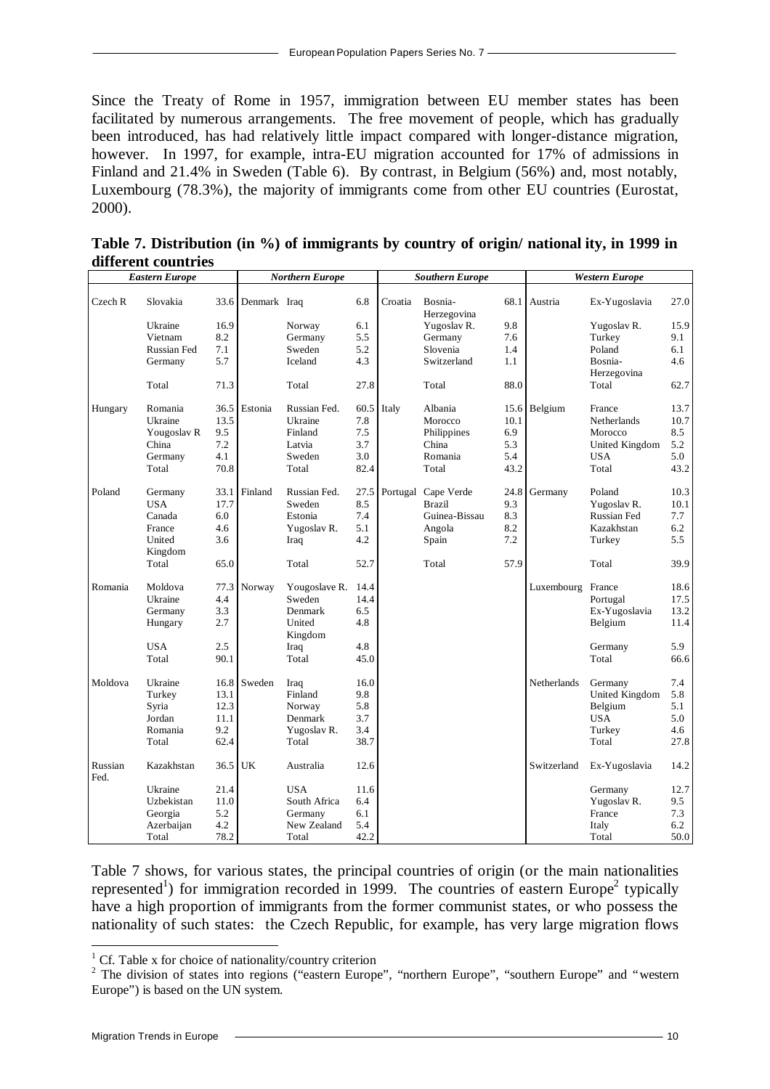Since the Treaty of Rome in 1957, immigration between EU member states has been facilitated by numerous arrangements. The free movement of people, which has gradually been introduced, has had relatively little impact compared with longer-distance migration, however. In 1997, for example, intra-EU migration accounted for 17% of admissions in Finland and 21.4% in Sweden (Table 6). By contrast, in Belgium (56%) and, most notably, Luxembourg (78.3%), the majority of immigrants come from other EU countries (Eurostat, 2000).

| different countries | Table 7. Distribution (in %) of immigrants by country of origin/ national ity, in 1999 in |  |  |  |
|---------------------|-------------------------------------------------------------------------------------------|--|--|--|
|                     |                                                                                           |  |  |  |

|                 | <b>Eastern Europe</b>                                                     |                                             |              | <b>Northern Europe</b>                                          |                                          |         | <b>Southern Europe</b>                                                   |                                           |                   | <b>Western Europe</b>                                                     |                                           |
|-----------------|---------------------------------------------------------------------------|---------------------------------------------|--------------|-----------------------------------------------------------------|------------------------------------------|---------|--------------------------------------------------------------------------|-------------------------------------------|-------------------|---------------------------------------------------------------------------|-------------------------------------------|
| Czech R         | Slovakia                                                                  | 33.6                                        | Denmark Iraq |                                                                 | 6.8                                      | Croatia | Bosnia-<br>Herzegovina                                                   | 68.1                                      | Austria           | Ex-Yugoslavia                                                             | 27.0                                      |
|                 | Ukraine<br>Vietnam                                                        | 16.9<br>8.2                                 |              | Norway<br>Germany                                               | 6.1<br>5.5                               |         | Yugoslav R.<br>Germany                                                   | 9.8<br>7.6                                |                   | Yugoslav R.<br>Turkey                                                     | 15.9<br>9.1                               |
|                 | <b>Russian Fed</b><br>Germany                                             | 7.1<br>5.7                                  |              | Sweden<br>Iceland                                               | 5.2<br>4.3                               |         | Slovenia<br>Switzerland                                                  | 1.4<br>1.1                                |                   | Poland<br>Bosnia-<br>Herzegovina                                          | 6.1<br>4.6                                |
|                 | Total                                                                     | 71.3                                        |              | Total                                                           | 27.8                                     |         | Total                                                                    | 88.0                                      |                   | Total                                                                     | 62.7                                      |
| Hungary         | Romania<br>Ukraine<br>Yougoslav <sub>R</sub><br>China<br>Germany<br>Total | 36.5<br>13.5<br>9.5<br>7.2<br>4.1<br>70.8   | Estonia      | Russian Fed.<br>Ukraine<br>Finland<br>Latvia<br>Sweden<br>Total | 60.5<br>7.8<br>7.5<br>3.7<br>3.0<br>82.4 | Italy   | Albania<br>Morocco<br>Philippines<br>China<br>Romania<br>Total           | 15.6<br>10.1<br>6.9<br>5.3<br>5.4<br>43.2 | Belgium           | France<br>Netherlands<br>Morocco<br>United Kingdom<br><b>USA</b><br>Total | 13.7<br>10.7<br>8.5<br>5.2<br>5.0<br>43.2 |
| Poland          | Germany<br><b>USA</b><br>Canada<br>France<br>United<br>Kingdom            | 33.1<br>17.7<br>6.0<br>4.6<br>3.6           | Finland      | Russian Fed.<br>Sweden<br>Estonia<br>Yugoslav R.<br>Iraq        | 27.5<br>8.5<br>7.4<br>5.1<br>4.2         |         | Portugal Cape Verde<br><b>Brazil</b><br>Guinea-Bissau<br>Angola<br>Spain | 24.8<br>9.3<br>8.3<br>8.2<br>7.2          | Germany           | Poland<br>Yugoslav R.<br><b>Russian Fed</b><br>Kazakhstan<br>Turkey       | 10.3<br>10.1<br>7.7<br>6.2<br>5.5         |
|                 | Total                                                                     | 65.0                                        |              | Total                                                           | 52.7                                     |         | Total                                                                    | 57.9                                      |                   | Total                                                                     | 39.9                                      |
| Romania         | Moldova<br>Ukraine<br>Germany<br>Hungary                                  | 77.3<br>4.4<br>3.3<br>2.7                   | Norway       | Yougoslave R.<br>Sweden<br>Denmark<br>United<br>Kingdom         | 14.4<br>14.4<br>6.5<br>4.8               |         |                                                                          |                                           | Luxembourg France | Portugal<br>Ex-Yugoslavia<br>Belgium                                      | 18.6<br>17.5<br>13.2<br>11.4              |
|                 | <b>USA</b><br>Total                                                       | 2.5<br>90.1                                 |              | Iraq<br>Total                                                   | 4.8<br>45.0                              |         |                                                                          |                                           |                   | Germany<br>Total                                                          | 5.9<br>66.6                               |
| Moldova         | Ukraine<br>Turkey<br>Syria<br>Jordan<br>Romania<br>Total                  | 16.8<br>13.1<br>12.3<br>11.1<br>9.2<br>62.4 | Sweden       | Iraq<br>Finland<br>Norway<br>Denmark<br>Yugoslav R.<br>Total    | 16.0<br>9.8<br>5.8<br>3.7<br>3.4<br>38.7 |         |                                                                          |                                           | Netherlands       | Germany<br>United Kingdom<br>Belgium<br><b>USA</b><br>Turkey<br>Total     | 7.4<br>5.8<br>5.1<br>5.0<br>4.6<br>27.8   |
| Russian<br>Fed. | Kazakhstan                                                                | 36.5                                        | UK           | Australia                                                       | 12.6                                     |         |                                                                          |                                           | Switzerland       | Ex-Yugoslavia                                                             | 14.2                                      |
|                 | Ukraine<br>Uzbekistan<br>Georgia<br>Azerbaijan<br>Total                   | 21.4<br>11.0<br>5.2<br>4.2<br>78.2          |              | <b>USA</b><br>South Africa<br>Germany<br>New Zealand<br>Total   | 11.6<br>6.4<br>6.1<br>5.4<br>42.2        |         |                                                                          |                                           |                   | Germany<br>Yugoslav R.<br>France<br>Italy<br>Total                        | 12.7<br>9.5<br>7.3<br>6.2<br>50.0         |

Table 7 shows, for various states, the principal countries of origin (or the main nationalities represented<sup>1</sup>) for immigration recorded in 1999. The countries of eastern Europe<sup>2</sup> typically have a high proportion of immigrants from the former communist states, or who possess the nationality of such states: the Czech Republic, for example, has very large migration flows

<sup>&</sup>lt;sup>1</sup> Cf. Table x for choice of nationality/country criterion

<sup>&</sup>lt;sup>2</sup> The division of states into regions ("eastern Europe", "northern Europe", "southern Europe" and "western Europe") is based on the UN system.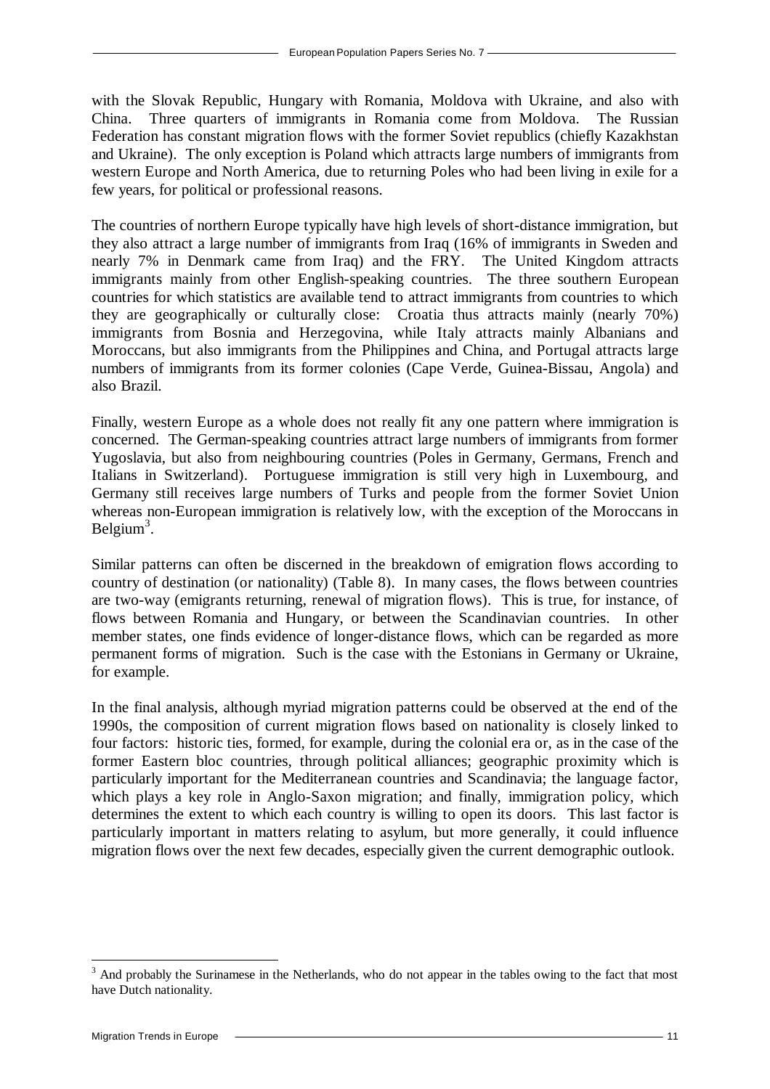with the Slovak Republic, Hungary with Romania, Moldova with Ukraine, and also with China. Three quarters of immigrants in Romania come from Moldova. The Russian Federation has constant migration flows with the former Soviet republics (chiefly Kazakhstan and Ukraine). The only exception is Poland which attracts large numbers of immigrants from western Europe and North America, due to returning Poles who had been living in exile for a few years, for political or professional reasons.

The countries of northern Europe typically have high levels of short-distance immigration, but they also attract a large number of immigrants from Iraq (16% of immigrants in Sweden and nearly 7% in Denmark came from Iraq) and the FRY. The United Kingdom attracts immigrants mainly from other English-speaking countries. The three southern European countries for which statistics are available tend to attract immigrants from countries to which they are geographically or culturally close: Croatia thus attracts mainly (nearly 70%) immigrants from Bosnia and Herzegovina, while Italy attracts mainly Albanians and Moroccans, but also immigrants from the Philippines and China, and Portugal attracts large numbers of immigrants from its former colonies (Cape Verde, Guinea-Bissau, Angola) and also Brazil.

Finally, western Europe as a whole does not really fit any one pattern where immigration is concerned. The German-speaking countries attract large numbers of immigrants from former Yugoslavia, but also from neighbouring countries (Poles in Germany, Germans, French and Italians in Switzerland). Portuguese immigration is still very high in Luxembourg, and Germany still receives large numbers of Turks and people from the former Soviet Union whereas non-European immigration is relatively low, with the exception of the Moroccans in Belgium<sup>3</sup>.

Similar patterns can often be discerned in the breakdown of emigration flows according to country of destination (or nationality) (Table 8). In many cases, the flows between countries are two-way (emigrants returning, renewal of migration flows). This is true, for instance, of flows between Romania and Hungary, or between the Scandinavian countries. In other member states, one finds evidence of longer-distance flows, which can be regarded as more permanent forms of migration. Such is the case with the Estonians in Germany or Ukraine, for example.

In the final analysis, although myriad migration patterns could be observed at the end of the 1990s, the composition of current migration flows based on nationality is closely linked to four factors: historic ties, formed, for example, during the colonial era or, as in the case of the former Eastern bloc countries, through political alliances; geographic proximity which is particularly important for the Mediterranean countries and Scandinavia; the language factor, which plays a key role in Anglo-Saxon migration; and finally, immigration policy, which determines the extent to which each country is willing to open its doors. This last factor is particularly important in matters relating to asylum, but more generally, it could influence migration flows over the next few decades, especially given the current demographic outlook.

 $\overline{a}$ 

<sup>&</sup>lt;sup>3</sup> And probably the Surinamese in the Netherlands, who do not appear in the tables owing to the fact that most have Dutch nationality.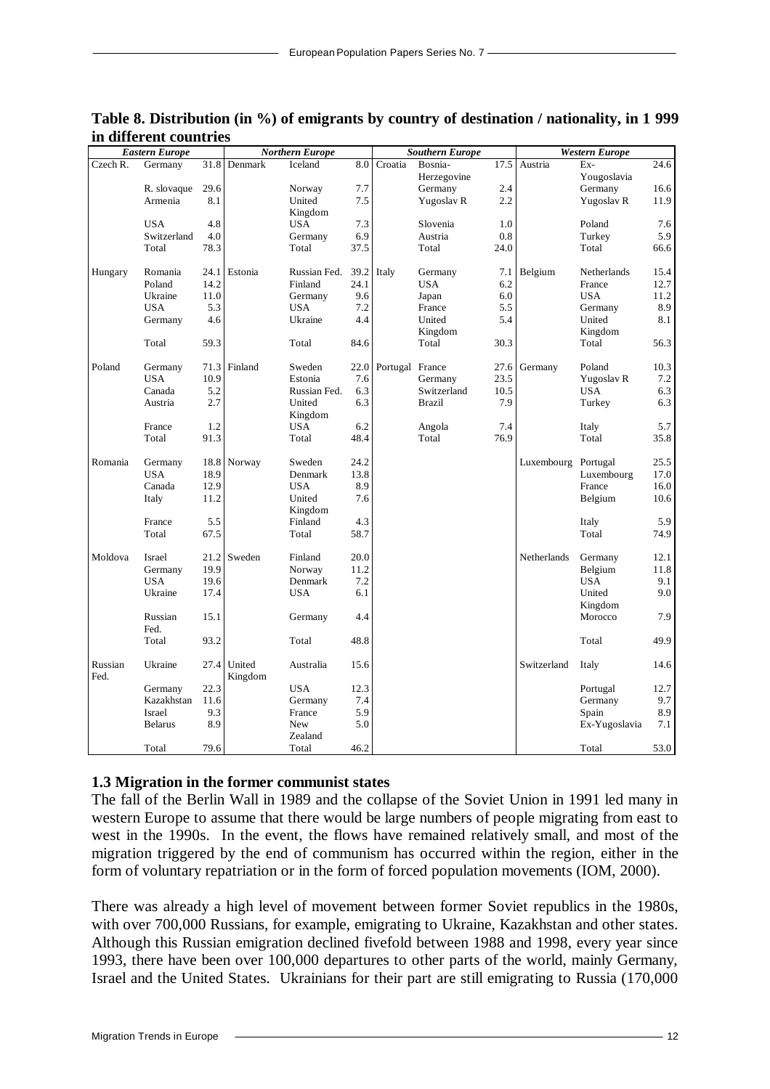|          | <b>Eastern Europe</b> |             |         | <b>Northern Europe</b> |             |                 | <b>Southern Europe</b> |             |             | <b>Western Europe</b> |      |
|----------|-----------------------|-------------|---------|------------------------|-------------|-----------------|------------------------|-------------|-------------|-----------------------|------|
| Czech R. | Germany               | 31.8        | Denmark | Iceland                | 8.0         | Croatia         | Bosnia-                | 17.5        | Austria     | Ex-                   | 24.6 |
|          |                       |             |         |                        |             |                 | Herzegovine            |             |             | Yougoslavia           |      |
|          | R. slovaque           | 29.6        |         | Norway                 | 7.7         |                 | Germany                | 2.4         |             | Germany               | 16.6 |
|          | Armenia               | 8.1         |         | United                 | 7.5         |                 | Yugoslav R             | 2.2         |             | Yugoslav R            | 11.9 |
|          |                       |             |         | Kingdom                |             |                 |                        |             |             |                       |      |
|          | <b>USA</b>            | 4.8         |         | <b>USA</b>             | 7.3         |                 | Slovenia               | 1.0         |             | Poland                | 7.6  |
|          | Switzerland           | 4.0         |         | Germany                | 6.9         |                 | Austria                | 0.8         |             | Turkey                | 5.9  |
|          | Total                 | 78.3        |         | Total                  | 37.5        |                 | Total                  | 24.0        |             | Total                 | 66.6 |
|          |                       |             |         |                        |             |                 |                        |             |             |                       |      |
| Hungary  | Romania               | 24.1        | Estonia | Russian Fed.           | 39.2        | Italy           | Germany                | 7.1         | Belgium     | Netherlands           | 15.4 |
|          | Poland                | 14.2        |         | Finland                | 24.1        |                 | <b>USA</b>             | 6.2         |             | France                | 12.7 |
|          | Ukraine               | 11.0        |         | Germany                | 9.6         |                 | Japan                  | 6.0         |             | <b>USA</b>            | 11.2 |
|          | <b>USA</b>            | 5.3         |         | <b>USA</b>             | 7.2         |                 | France                 | 5.5         |             | Germany               | 8.9  |
|          | Germany               | 4.6         |         | Ukraine                | 4.4         |                 | United                 | 5.4         |             | United                | 8.1  |
|          |                       |             |         |                        |             |                 | Kingdom                |             |             | Kingdom               |      |
|          | Total                 | 59.3        |         | Total                  | 84.6        |                 | Total                  | 30.3        |             | Total                 | 56.3 |
|          |                       |             |         |                        |             |                 |                        |             |             |                       |      |
| Poland   | Germany               | 71.3        | Finland | Sweden                 | 22.0        | Portugal France |                        | 27.6        | Germany     | Poland                | 10.3 |
|          | <b>USA</b>            | 10.9        |         | Estonia                | 7.6         |                 | Germany                | 23.5        |             | Yugoslav R            | 7.2  |
|          | Canada                | 5.2         |         | Russian Fed.           | 6.3         |                 | Switzerland            | 10.5        |             | <b>USA</b>            | 6.3  |
|          | Austria               | 2.7         |         | United                 | 6.3         |                 | <b>Brazil</b>          | 7.9         |             | Turkey                | 6.3  |
|          |                       |             |         | Kingdom                |             |                 |                        |             |             |                       |      |
|          |                       |             |         |                        |             |                 |                        |             |             |                       |      |
|          | France                | 1.2<br>91.3 |         | <b>USA</b>             | 6.2<br>48.4 |                 | Angola<br>Total        | 7.4<br>76.9 |             | Italy                 | 5.7  |
|          | Total                 |             |         | Total                  |             |                 |                        |             |             | Total                 | 35.8 |
| Romania  | Germany               | 18.8        | Norway  | Sweden                 | 24.2        |                 |                        |             | Luxembourg  | Portugal              | 25.5 |
|          | <b>USA</b>            | 18.9        |         | Denmark                | 13.8        |                 |                        |             |             | Luxembourg            | 17.0 |
|          | Canada                | 12.9        |         | <b>USA</b>             | 8.9         |                 |                        |             |             | France                | 16.0 |
|          |                       | 11.2        |         | United                 | 7.6         |                 |                        |             |             |                       | 10.6 |
|          | Italy                 |             |         |                        |             |                 |                        |             |             | Belgium               |      |
|          |                       | 5.5         |         | Kingdom<br>Finland     | 4.3         |                 |                        |             |             |                       | 5.9  |
|          | France                |             |         |                        |             |                 |                        |             |             | Italy                 |      |
|          | Total                 | 67.5        |         | Total                  | 58.7        |                 |                        |             |             | Total                 | 74.9 |
| Moldova  | Israel                | 21.2        | Sweden  | Finland                | 20.0        |                 |                        |             | Netherlands | Germany               | 12.1 |
|          | Germany               | 19.9        |         | Norway                 | 11.2        |                 |                        |             |             | Belgium               | 11.8 |
|          | <b>USA</b>            | 19.6        |         | Denmark                | 7.2         |                 |                        |             |             | <b>USA</b>            | 9.1  |
|          | Ukraine               | 17.4        |         | <b>USA</b>             | 6.1         |                 |                        |             |             | United                | 9.0  |
|          |                       |             |         |                        |             |                 |                        |             |             |                       |      |
|          |                       | 15.1        |         |                        | 4.4         |                 |                        |             |             | Kingdom               | 7.9  |
|          | Russian<br>Fed.       |             |         | Germany                |             |                 |                        |             |             | Morocco               |      |
|          |                       | 93.2        |         |                        |             |                 |                        |             |             |                       | 49.9 |
|          | Total                 |             |         | Total                  | 48.8        |                 |                        |             |             | Total                 |      |
| Russian  | Ukraine               | 27.4        | United  | Australia              | 15.6        |                 |                        |             | Switzerland | Italy                 | 14.6 |
| Fed.     |                       |             |         |                        |             |                 |                        |             |             |                       |      |
|          |                       | 22.3        | Kingdom | <b>USA</b>             | 12.3        |                 |                        |             |             |                       | 12.7 |
|          | Germany               |             |         |                        |             |                 |                        |             |             | Portugal              |      |
|          | Kazakhstan            | 11.6        |         | Germany                | 7.4         |                 |                        |             |             | Germany               | 9.7  |
|          | Israel                | 9.3         |         | France                 | 5.9         |                 |                        |             |             | Spain                 | 8.9  |
|          | <b>Belarus</b>        | 8.9         |         | New                    | 5.0         |                 |                        |             |             | Ex-Yugoslavia         | 7.1  |
|          |                       |             |         | Zealand                |             |                 |                        |             |             |                       |      |
|          | Total                 | 79.6        |         | Total                  | 46.2        |                 |                        |             |             | Total                 | 53.0 |

#### **Table 8. Distribution (in %) of emigrants by country of destination / nationality, in 1 999 in different countries**

#### **1.3 Migration in the former communist states**

The fall of the Berlin Wall in 1989 and the collapse of the Soviet Union in 1991 led many in western Europe to assume that there would be large numbers of people migrating from east to west in the 1990s. In the event, the flows have remained relatively small, and most of the migration triggered by the end of communism has occurred within the region, either in the form of voluntary repatriation or in the form of forced population movements (IOM, 2000).

There was already a high level of movement between former Soviet republics in the 1980s, with over 700,000 Russians, for example, emigrating to Ukraine, Kazakhstan and other states. Although this Russian emigration declined fivefold between 1988 and 1998, every year since 1993, there have been over 100,000 departures to other parts of the world, mainly Germany, Israel and the United States. Ukrainians for their part are still emigrating to Russia (170,000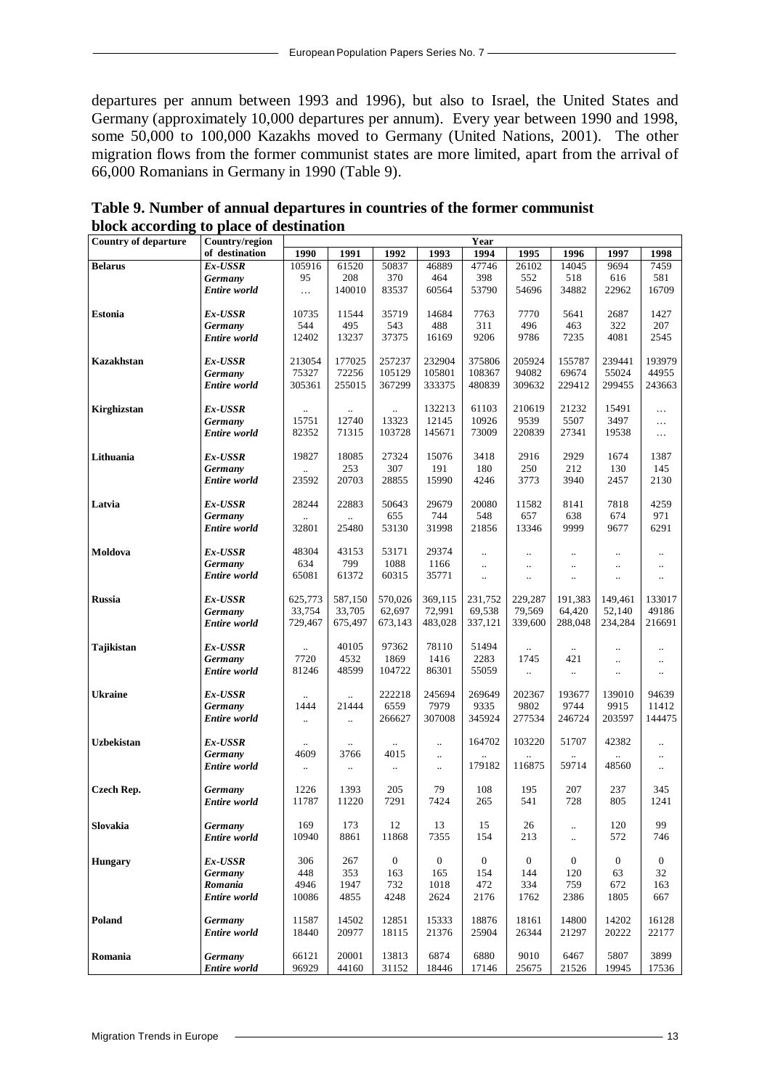departures per annum between 1993 and 1996), but also to Israel, the United States and Germany (approximately 10,000 departures per annum). Every year between 1990 and 1998, some 50,000 to 100,000 Kazakhs moved to Germany (United Nations, 2001). The other migration flows from the former communist states are more limited, apart from the arrival of 66,000 Romanians in Germany in 1990 (Table 9).

| <b>Country of departure</b> | Country/region      | Year                 |                      |                |                  |                      |                      |                |                      |                      |  |
|-----------------------------|---------------------|----------------------|----------------------|----------------|------------------|----------------------|----------------------|----------------|----------------------|----------------------|--|
|                             | of destination      | 1990                 | 1991                 | 1992           | 1993             | 1994                 | 1995                 | 1996           | 1997                 | 1998                 |  |
| <b>Belarus</b>              | Ex-USSR             | 105916               | 61520                | 50837          | 46889            | 47746                | 26102                | 14045          | 9694                 | 7459                 |  |
|                             | Germany             | 95                   | 208                  | 370            | 464              | 398                  | 552                  | 518            | 616                  | 581                  |  |
|                             | <b>Entire</b> world | $\ldots$             | 140010               | 83537          | 60564            | 53790                | 54696                | 34882          | 22962                | 16709                |  |
|                             |                     |                      |                      |                |                  |                      |                      |                |                      |                      |  |
| Estonia                     | Ex-USSR             | 10735                | 11544                | 35719          | 14684            | 7763                 | 7770                 | 5641           | 2687                 | 1427                 |  |
|                             | Germany             | 544                  | 495                  | 543            | 488              | 311                  | 496                  | 463            | 322                  | 207                  |  |
|                             | <b>Entire</b> world | 12402                | 13237                | 37375          | 16169            | 9206                 | 9786                 | 7235           | 4081                 | 2545                 |  |
|                             |                     |                      |                      |                |                  |                      |                      |                |                      |                      |  |
| Kazakhstan                  | $Ex$ -USSR          | 213054               | 177025               | 257237         | 232904           | 375806               | 205924               | 155787         | 239441               | 193979               |  |
|                             | Germany             | 75327                | 72256                | 105129         | 105801           | 108367               | 94082                | 69674          | 55024                | 44955                |  |
|                             | <b>Entire</b> world | 305361               | 255015               | 367299         | 333375           | 480839               | 309632               | 229412         | 299455               | 243663               |  |
|                             |                     |                      |                      |                |                  |                      |                      |                |                      |                      |  |
| Kirghizstan                 | Ex-USSR             | $\ddotsc$            | $\ldots$             | и.             | 132213           | 61103                | 210619               | 21232          | 15491                | $\cdots$             |  |
|                             | Germany             | 15751                | 12740                | 13323          | 12145            | 10926                | 9539                 | 5507           | 3497                 | $\cdots$             |  |
|                             | <b>Entire</b> world | 82352                | 71315                | 103728         | 145671           | 73009                | 220839               | 27341          | 19538                | $\ldots$             |  |
|                             |                     |                      |                      |                |                  |                      |                      |                |                      |                      |  |
| Lithuania                   | $Ex$ -USSR          | 19827                | 18085                | 27324          | 15076            | 3418                 | 2916                 | 2929           | 1674                 | 1387                 |  |
|                             | Germany             |                      | 253                  | 307            | 191              | 180                  | 250                  | 212            | 130                  | 145                  |  |
|                             | <b>Entire</b> world | 23592                | 20703                | 28855          | 15990            | 4246                 | 3773                 | 3940           | 2457                 | 2130                 |  |
|                             |                     |                      |                      |                |                  |                      |                      |                |                      |                      |  |
| Latvia                      | Ex-USSR             | 28244                | 22883                | 50643          | 29679            | 20080                | 11582                | 8141           | 7818                 | 4259                 |  |
|                             | Germany             | $\ddot{\phantom{a}}$ |                      | 655            | 744              | 548                  | 657                  | 638            | 674                  | 971                  |  |
|                             | <b>Entire</b> world | 32801                | 25480                | 53130          | 31998            | 21856                | 13346                | 9999           | 9677                 | 6291                 |  |
|                             |                     |                      |                      |                |                  |                      |                      |                |                      |                      |  |
| Moldova                     | Ex-USSR             | 48304                | 43153                | 53171          | 29374            | $\ldots$             |                      | $\ddotsc$      |                      | $\ldots$             |  |
|                             | Germany             | 634                  | 799                  | 1088           | 1166             | $\ddotsc$            | $\ddotsc$            | $\ldots$       | $\ddotsc$            | $\ldots$             |  |
|                             | <b>Entire</b> world | 65081                | 61372                | 60315          | 35771            | $\ddot{\phantom{a}}$ | $\ddot{\phantom{a}}$ | $\ddotsc$      | $\ddot{\phantom{a}}$ | $\ddotsc$            |  |
|                             |                     |                      |                      |                |                  |                      |                      |                |                      |                      |  |
| <b>Russia</b>               | Ex-USSR             | 625,773              | 587,150              | 570,026        | 369,115          | 231,752              | 229,287              | 191,383        | 149,461              | 133017               |  |
|                             | Germany             | 33,754               | 33,705               | 62,697         | 72.991           | 69,538               | 79,569               | 64,420         | 52,140               | 49186                |  |
|                             | <b>Entire</b> world | 729,467              | 675,497              | 673,143        | 483,028          | 337,121              | 339,600              | 288,048        | 234,284              | 216691               |  |
|                             |                     |                      |                      |                |                  |                      |                      |                |                      |                      |  |
| Tajikistan                  | Ex-USSR             |                      | 40105                | 97362          | 78110            | 51494                |                      | $\ldots$       |                      | $\ddot{\phantom{0}}$ |  |
|                             | Germany             | 7720                 | 4532                 | 1869           | 1416             | 2283                 | 1745                 | 421            |                      | $\ldots$             |  |
|                             | <b>Entire</b> world | 81246                | 48599                | 104722         | 86301            | 55059                | $\ddot{\phantom{a}}$ | $\ddotsc$      | $\ldots$             | $\ldots$             |  |
|                             |                     |                      |                      |                |                  |                      |                      |                |                      |                      |  |
| <b>Ukraine</b>              | Ex-USSR             | $\ddot{\phantom{0}}$ | $\ddotsc$            | 222218         | 245694           | 269649               | 202367               | 193677         | 139010               | 94639                |  |
|                             | Germany             | 1444                 | 21444                | 6559           | 7979             | 9335                 | 9802                 | 9744           | 9915                 | 11412                |  |
|                             | <b>Entire</b> world | $\ldots$             | $\ddot{\phantom{a}}$ | 266627         | 307008           | 345924               | 277534               | 246724         | 203597               | 144475               |  |
|                             |                     |                      |                      |                |                  |                      |                      |                |                      |                      |  |
| Uzbekistan                  | Ex-USSR             |                      |                      |                | $\ddotsc$        | 164702               | 103220               | 51707          | 42382                | $\ddotsc$            |  |
|                             | Germany             | 4609                 | 3766                 | 4015           | $\ddotsc$        |                      |                      |                |                      | $\ddotsc$            |  |
|                             | <b>Entire</b> world |                      | $\ldots$             | $\ldots$       | $\ldots$         | 179182               | 116875               | 59714          | 48560                | $\ddotsc$            |  |
|                             |                     |                      |                      |                |                  |                      |                      |                |                      |                      |  |
| <b>Czech Rep.</b>           | Germany             | 1226                 | 1393                 | 205            | 79               | 108                  | 195                  | 207            | 237                  | 345                  |  |
|                             | <b>Entire</b> world | 11787                | 11220                | 7291           | 7424             | 265                  | 541                  | 728            | 805                  | 1241                 |  |
|                             |                     |                      |                      |                |                  |                      |                      |                |                      |                      |  |
| Slovakia                    | Germany             | 169                  | 173                  | $12\,$         | 13               | 15                   | 26                   |                | 120                  | 99                   |  |
|                             | Entire world        | 10940                | 8861                 | 11868          | 7355             | 154                  | 213                  | $\ddotsc$      | 572                  | 746                  |  |
|                             |                     |                      |                      |                |                  |                      |                      |                |                      |                      |  |
| <b>Hungary</b>              | Ex-USSR             | 306                  | 267                  | $\overline{0}$ | $\boldsymbol{0}$ | $\boldsymbol{0}$     | $\mathbf{0}$         | $\overline{0}$ | $\boldsymbol{0}$     | $\overline{0}$       |  |
|                             | Germany             | 448                  | 353                  | 163            | 165              | 154                  | 144                  | 120            | 63                   | 32                   |  |
|                             | Romania             | 4946                 | 1947                 | 732            | 1018             | 472                  | 334                  | 759            | 672                  | 163                  |  |
|                             | Entire world        | 10086                | 4855                 | 4248           | 2624             | 2176                 | 1762                 | 2386           | 1805                 | 667                  |  |
|                             |                     |                      |                      |                |                  |                      |                      |                |                      |                      |  |
| Poland                      | Germany             | 11587                | 14502                | 12851          | 15333            | 18876                | 18161                | 14800          | 14202                | 16128                |  |
|                             | Entire world        | 18440                | 20977                | 18115          | 21376            | 25904                | 26344                | 21297          | 20222                | 22177                |  |
|                             |                     |                      |                      |                |                  |                      |                      |                |                      |                      |  |
| Romania                     | Germany             | 66121                | 20001                | 13813          | 6874             | 6880                 | 9010                 | 6467           | 5807                 | 3899                 |  |
|                             | Entire world        | 96929                | 44160                | 31152          | 18446            | 17146                | 25675                | 21526          | 19945                | 17536                |  |

**Table 9. Number of annual departures in countries of the former communist block according to place of destination**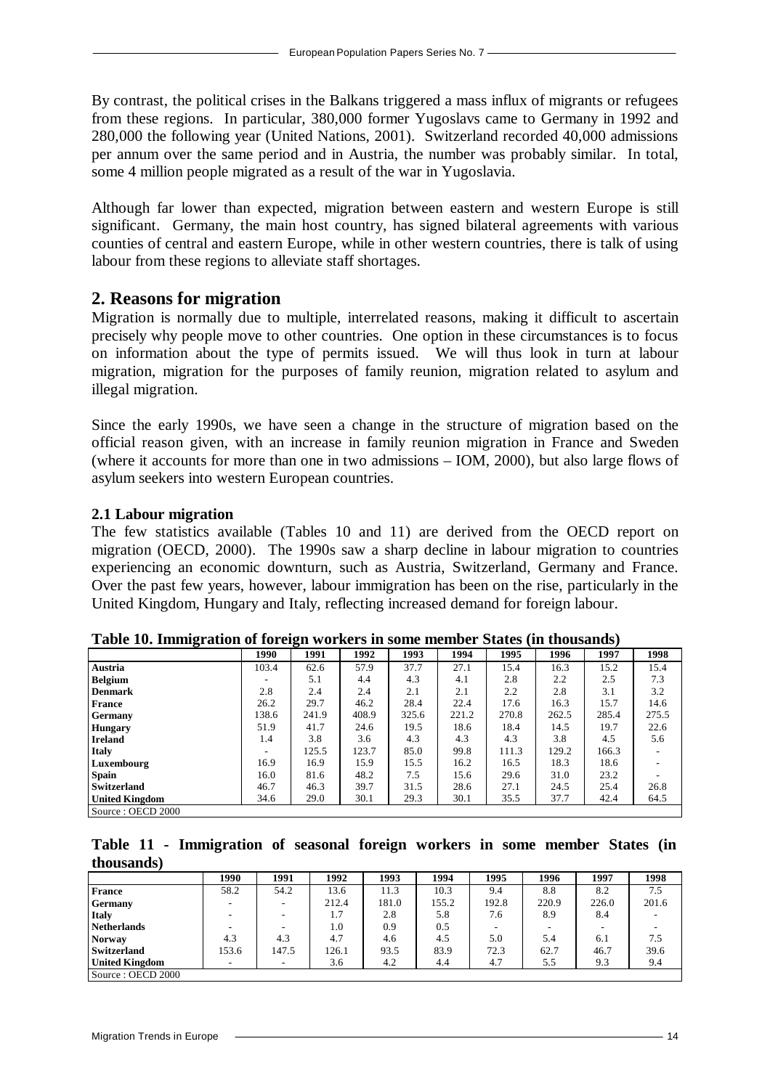By contrast, the political crises in the Balkans triggered a mass influx of migrants or refugees from these regions. In particular, 380,000 former Yugoslavs came to Germany in 1992 and 280,000 the following year (United Nations, 2001). Switzerland recorded 40,000 admissions per annum over the same period and in Austria, the number was probably similar. In total, some 4 million people migrated as a result of the war in Yugoslavia.

Although far lower than expected, migration between eastern and western Europe is still significant. Germany, the main host country, has signed bilateral agreements with various counties of central and eastern Europe, while in other western countries, there is talk of using labour from these regions to alleviate staff shortages.

#### **2. Reasons for migration**

Migration is normally due to multiple, interrelated reasons, making it difficult to ascertain precisely why people move to other countries. One option in these circumstances is to focus on information about the type of permits issued. We will thus look in turn at labour migration, migration for the purposes of family reunion, migration related to asylum and illegal migration.

Since the early 1990s, we have seen a change in the structure of migration based on the official reason given, with an increase in family reunion migration in France and Sweden (where it accounts for more than one in two admissions – IOM, 2000), but also large flows of asylum seekers into western European countries.

#### **2.1 Labour migration**

The few statistics available (Tables 10 and 11) are derived from the OECD report on migration (OECD, 2000). The 1990s saw a sharp decline in labour migration to countries experiencing an economic downturn, such as Austria, Switzerland, Germany and France. Over the past few years, however, labour immigration has been on the rise, particularly in the United Kingdom, Hungary and Italy, reflecting increased demand for foreign labour.

|                       | 1990                     | 1991  | 1992  | 1993  | 1994  | 1995  | 1996  | 1997  | 1998  |
|-----------------------|--------------------------|-------|-------|-------|-------|-------|-------|-------|-------|
| Austria               | 103.4                    | 62.6  | 57.9  | 37.7  | 27.1  | 15.4  | 16.3  | 15.2  | 15.4  |
| <b>Belgium</b>        | -                        | 5.1   | 4.4   | 4.3   | 4.1   | 2.8   | 2.2   | 2.5   | 7.3   |
| <b>Denmark</b>        | 2.8                      | 2.4   | 2.4   | 2.1   | 2.1   | 2.2   | 2.8   | 3.1   | 3.2   |
| France                | 26.2                     | 29.7  | 46.2  | 28.4  | 22.4  | 17.6  | 16.3  | 15.7  | 14.6  |
| <b>Germany</b>        | 138.6                    | 241.9 | 408.9 | 325.6 | 221.2 | 270.8 | 262.5 | 285.4 | 275.5 |
| <b>Hungary</b>        | 51.9                     | 41.7  | 24.6  | 19.5  | 18.6  | 18.4  | 14.5  | 19.7  | 22.6  |
| <b>Ireland</b>        | 1.4                      | 3.8   | 3.6   | 4.3   | 4.3   | 4.3   | 3.8   | 4.5   | 5.6   |
| <b>Italy</b>          | $\overline{\phantom{a}}$ | 125.5 | 123.7 | 85.0  | 99.8  | 111.3 | 129.2 | 166.3 |       |
| Luxembourg            | 16.9                     | 16.9  | 15.9  | 15.5  | 16.2  | 16.5  | 18.3  | 18.6  |       |
| <b>Spain</b>          | 16.0                     | 81.6  | 48.2  | 7.5   | 15.6  | 29.6  | 31.0  | 23.2  |       |
| Switzerland           | 46.7                     | 46.3  | 39.7  | 31.5  | 28.6  | 27.1  | 24.5  | 25.4  | 26.8  |
| <b>United Kingdom</b> | 34.6                     | 29.0  | 30.1  | 29.3  | 30.1  | 35.5  | 37.7  | 42.4  | 64.5  |
| Source: OECD 2000     |                          |       |       |       |       |       |       |       |       |

**Table 10. Immigration of foreign workers in some member States (in thousands)**

**Table 11 - Immigration of seasonal foreign workers in some member States (in thousands)**

|                       | 1990  | 1991  | 1992  | 1993  | 1994  | 1995  | 1996  | 1997  | 1998  |
|-----------------------|-------|-------|-------|-------|-------|-------|-------|-------|-------|
| France                | 58.2  | 54.2  | 13.6  | 11.3  | 10.3  | 9.4   | 8.8   | 8.2   | 7.5   |
| <b>Germany</b>        | -     | -     | 212.4 | 181.0 | 155.2 | 192.8 | 220.9 | 226.0 | 201.6 |
| <b>Italy</b>          |       | -     | 1.7   | 2.8   | 5.8   | 7.6   | 8.9   | 8.4   |       |
| <b>Netherlands</b>    |       | -     | 1.0   | 0.9   | 0.5   |       |       |       |       |
| <b>Norway</b>         | 4.3   | 4.3   | 4.7   | 4.6   | 4.5   | 5.0   | 5.4   | 6.1   | 7.5   |
| <b>Switzerland</b>    | 153.6 | 147.5 | 126.1 | 93.5  | 83.9  | 72.3  | 62.7  | 46.7  | 39.6  |
| <b>United Kingdom</b> |       | -     | 3.6   | 4.2   | 4.4   | 4.7   | 5.5   | 9.3   | 9.4   |
| Source: OECD 2000     |       |       |       |       |       |       |       |       |       |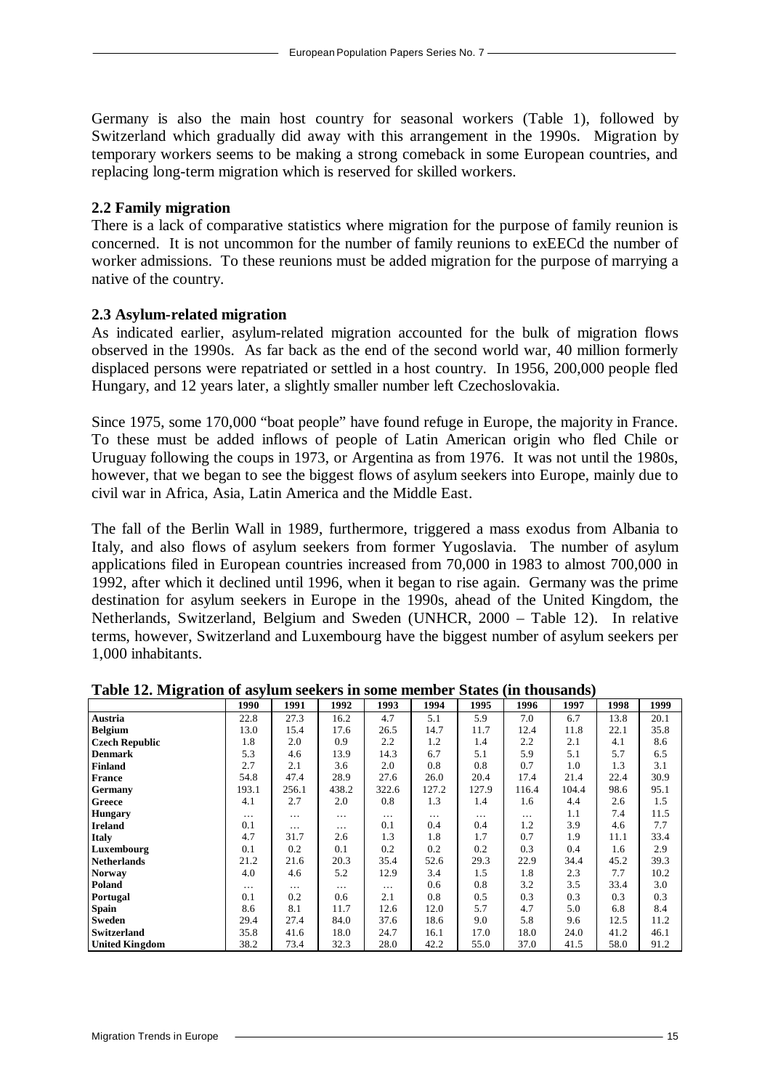Germany is also the main host country for seasonal workers (Table 1), followed by Switzerland which gradually did away with this arrangement in the 1990s. Migration by temporary workers seems to be making a strong comeback in some European countries, and replacing long-term migration which is reserved for skilled workers.

#### **2.2 Family migration**

There is a lack of comparative statistics where migration for the purpose of family reunion is concerned. It is not uncommon for the number of family reunions to exEECd the number of worker admissions. To these reunions must be added migration for the purpose of marrying a native of the country.

#### **2.3 Asylum-related migration**

As indicated earlier, asylum-related migration accounted for the bulk of migration flows observed in the 1990s. As far back as the end of the second world war, 40 million formerly displaced persons were repatriated or settled in a host country. In 1956, 200,000 people fled Hungary, and 12 years later, a slightly smaller number left Czechoslovakia.

Since 1975, some 170,000 "boat people" have found refuge in Europe, the majority in France. To these must be added inflows of people of Latin American origin who fled Chile or Uruguay following the coups in 1973, or Argentina as from 1976. It was not until the 1980s, however, that we began to see the biggest flows of asylum seekers into Europe, mainly due to civil war in Africa, Asia, Latin America and the Middle East.

The fall of the Berlin Wall in 1989, furthermore, triggered a mass exodus from Albania to Italy, and also flows of asylum seekers from former Yugoslavia. The number of asylum applications filed in European countries increased from 70,000 in 1983 to almost 700,000 in 1992, after which it declined until 1996, when it began to rise again. Germany was the prime destination for asylum seekers in Europe in the 1990s, ahead of the United Kingdom, the Netherlands, Switzerland, Belgium and Sweden (UNHCR, 2000 – Table 12). In relative terms, however, Switzerland and Luxembourg have the biggest number of asylum seekers per 1,000 inhabitants.

|                       | 1990     | 1991  | 1992     | 1993     | 1994     | 1995     | 1996  | 1997  | 1998 | 1999 |
|-----------------------|----------|-------|----------|----------|----------|----------|-------|-------|------|------|
| Austria               | 22.8     | 27.3  | 16.2     | 4.7      | 5.1      | 5.9      | 7.0   | 6.7   | 13.8 | 20.1 |
| <b>Belgium</b>        | 13.0     | 15.4  | 17.6     | 26.5     | 14.7     | 11.7     | 12.4  | 11.8  | 22.1 | 35.8 |
| <b>Czech Republic</b> | 1.8      | 2.0   | 0.9      | 2.2      | 1.2      | 1.4      | 2.2   | 2.1   | 4.1  | 8.6  |
| <b>Denmark</b>        | 5.3      | 4.6   | 13.9     | 14.3     | 6.7      | 5.1      | 5.9   | 5.1   | 5.7  | 6.5  |
| <b>Finland</b>        | 2.7      | 2.1   | 3.6      | 2.0      | 0.8      | 0.8      | 0.7   | 1.0   | 1.3  | 3.1  |
| <b>France</b>         | 54.8     | 47.4  | 28.9     | 27.6     | 26.0     | 20.4     | 17.4  | 21.4  | 22.4 | 30.9 |
| <b>Germany</b>        | 193.1    | 256.1 | 438.2    | 322.6    | 127.2    | 127.9    | 116.4 | 104.4 | 98.6 | 95.1 |
| Greece                | 4.1      | 2.7   | 2.0      | 0.8      | 1.3      | 1.4      | 1.6   | 4.4   | 2.6  | 1.5  |
| <b>Hungary</b>        | $\cdots$ | .     | .        | $\cdots$ | $\cdots$ | $\cdots$ | .     | 1.1   | 7.4  | 11.5 |
| <b>Ireland</b>        | 0.1      | .     | .        | 0.1      | 0.4      | 0.4      | 1.2   | 3.9   | 4.6  | 7.7  |
| <b>Italy</b>          | 4.7      | 31.7  | 2.6      | 1.3      | 1.8      | 1.7      | 0.7   | 1.9   | 11.1 | 33.4 |
| Luxembourg            | 0.1      | 0.2   | 0.1      | 0.2      | 0.2      | 0.2      | 0.3   | 0.4   | 1.6  | 2.9  |
| <b>Netherlands</b>    | 21.2     | 21.6  | 20.3     | 35.4     | 52.6     | 29.3     | 22.9  | 34.4  | 45.2 | 39.3 |
| <b>Norway</b>         | 4.0      | 4.6   | 5.2      | 12.9     | 3.4      | 1.5      | 1.8   | 2.3   | 7.7  | 10.2 |
| Poland                | $\cdots$ | .     | $\cdots$ | $\cdots$ | 0.6      | 0.8      | 3.2   | 3.5   | 33.4 | 3.0  |
| Portugal              | 0.1      | 0.2   | 0.6      | 2.1      | 0.8      | 0.5      | 0.3   | 0.3   | 0.3  | 0.3  |
| Spain                 | 8.6      | 8.1   | 11.7     | 12.6     | 12.0     | 5.7      | 4.7   | 5.0   | 6.8  | 8.4  |
| Sweden                | 29.4     | 27.4  | 84.0     | 37.6     | 18.6     | 9.0      | 5.8   | 9.6   | 12.5 | 11.2 |
| Switzerland           | 35.8     | 41.6  | 18.0     | 24.7     | 16.1     | 17.0     | 18.0  | 24.0  | 41.2 | 46.1 |
| <b>United Kingdom</b> | 38.2     | 73.4  | 32.3     | 28.0     | 42.2     | 55.0     | 37.0  | 41.5  | 58.0 | 91.2 |

#### **Table 12. Migration of asylum seekers in some member States (in thousands)**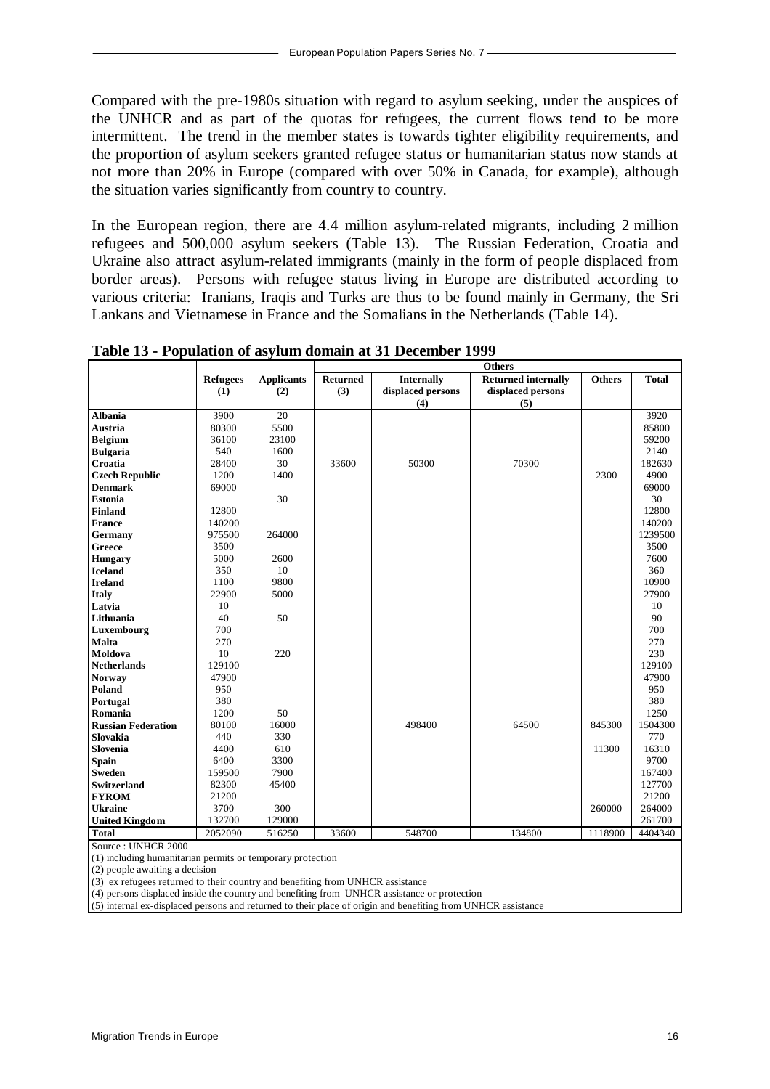Compared with the pre-1980s situation with regard to asylum seeking, under the auspices of the UNHCR and as part of the quotas for refugees, the current flows tend to be more intermittent. The trend in the member states is towards tighter eligibility requirements, and the proportion of asylum seekers granted refugee status or humanitarian status now stands at not more than 20% in Europe (compared with over 50% in Canada, for example), although the situation varies significantly from country to country.

In the European region, there are 4.4 million asylum-related migrants, including 2 million refugees and 500,000 asylum seekers (Table 13). The Russian Federation, Croatia and Ukraine also attract asylum-related immigrants (mainly in the form of people displaced from border areas). Persons with refugee status living in Europe are distributed according to various criteria: Iranians, Iraqis and Turks are thus to be found mainly in Germany, the Sri Lankans and Vietnamese in France and the Somalians in the Netherlands (Table 14).

|                           |                 |                   |                 | <b>Others</b>     |                            |               |              |  |  |  |  |
|---------------------------|-----------------|-------------------|-----------------|-------------------|----------------------------|---------------|--------------|--|--|--|--|
|                           | <b>Refugees</b> | <b>Applicants</b> | <b>Returned</b> | <b>Internally</b> | <b>Returned internally</b> | <b>Others</b> | <b>Total</b> |  |  |  |  |
|                           | (1)             | (2)               | (3)             | displaced persons | displaced persons          |               |              |  |  |  |  |
|                           |                 |                   |                 | (4)               | (5)                        |               |              |  |  |  |  |
| <b>Albania</b>            | 3900            | 20                |                 |                   |                            |               | 3920         |  |  |  |  |
| <b>Austria</b>            | 80300           | 5500              |                 |                   |                            |               | 85800        |  |  |  |  |
| <b>Belgium</b>            | 36100           | 23100             |                 |                   |                            |               | 59200        |  |  |  |  |
| <b>Bulgaria</b>           | 540             | 1600              |                 |                   |                            |               | 2140         |  |  |  |  |
| Croatia                   | 28400           | 30                | 33600           | 50300             | 70300                      |               | 182630       |  |  |  |  |
| <b>Czech Republic</b>     | 1200            | 1400              |                 |                   |                            | 2300          | 4900         |  |  |  |  |
| <b>Denmark</b>            | 69000           |                   |                 |                   |                            |               | 69000        |  |  |  |  |
| <b>Estonia</b>            |                 | 30                |                 |                   |                            |               | 30           |  |  |  |  |
| <b>Finland</b>            | 12800           |                   |                 |                   |                            |               | 12800        |  |  |  |  |
| <b>France</b>             | 140200          |                   |                 |                   |                            |               | 140200       |  |  |  |  |
| Germany                   | 975500          | 264000            |                 |                   |                            |               | 1239500      |  |  |  |  |
| Greece                    | 3500            |                   |                 |                   |                            |               | 3500         |  |  |  |  |
| <b>Hungary</b>            | 5000            | 2600              |                 |                   |                            |               | 7600         |  |  |  |  |
| <b>Iceland</b>            | 350             | 10                |                 |                   |                            |               | 360          |  |  |  |  |
| <b>Ireland</b>            | 1100            | 9800              |                 |                   |                            |               | 10900        |  |  |  |  |
| <b>Italy</b>              | 22900           | 5000              |                 |                   |                            |               | 27900        |  |  |  |  |
| Latvia                    | 10              |                   |                 |                   |                            |               | 10           |  |  |  |  |
| Lithuania                 | 40              | 50                |                 |                   |                            |               | 90           |  |  |  |  |
| Luxembourg                | 700             |                   |                 |                   |                            |               | 700          |  |  |  |  |
| Malta                     | 270             |                   |                 |                   |                            |               | 270          |  |  |  |  |
| Moldova                   | 10              | 220               |                 |                   |                            |               | 230          |  |  |  |  |
| <b>Netherlands</b>        | 129100          |                   |                 |                   |                            |               | 129100       |  |  |  |  |
| <b>Norway</b>             | 47900           |                   |                 |                   |                            |               | 47900        |  |  |  |  |
| Poland                    | 950             |                   |                 |                   |                            |               | 950          |  |  |  |  |
| Portugal                  | 380             |                   |                 |                   |                            |               | 380          |  |  |  |  |
| Romania                   | 1200            | 50                |                 |                   |                            |               | 1250         |  |  |  |  |
| <b>Russian Federation</b> | 80100           | 16000             |                 | 498400            | 64500                      | 845300        | 1504300      |  |  |  |  |
| Slovakia                  | 440             | 330               |                 |                   |                            |               | 770          |  |  |  |  |
| <b>Slovenia</b>           | 4400            | 610               |                 |                   |                            | 11300         | 16310        |  |  |  |  |
| <b>Spain</b>              | 6400            | 3300              |                 |                   |                            |               | 9700         |  |  |  |  |
| <b>Sweden</b>             | 159500          | 7900              |                 |                   |                            |               | 167400       |  |  |  |  |
| <b>Switzerland</b>        | 82300           | 45400             |                 |                   |                            |               | 127700       |  |  |  |  |
| <b>FYROM</b>              | 21200           |                   |                 |                   |                            |               | 21200        |  |  |  |  |
| <b>Ukraine</b>            | 3700            | 300               |                 |                   |                            | 260000        | 264000       |  |  |  |  |
| <b>United Kingdom</b>     | 132700          | 129000            |                 |                   |                            |               | 261700       |  |  |  |  |
| <b>Total</b>              | 2052090         | 516250            | 33600           | 548700            | 134800                     | 1118900       | 4404340      |  |  |  |  |

**Table 13 - Population of asylum domain at 31 December 1999**

Source : UNHCR 2000

(1) including humanitarian permits or temporary protection

(2) people awaiting a decision

(3) ex refugees returned to their country and benefiting from UNHCR assistance

(4) persons displaced inside the country and benefiting from UNHCR assistance or protection

(5) internal ex-displaced persons and returned to their place of origin and benefiting from UNHCR assistance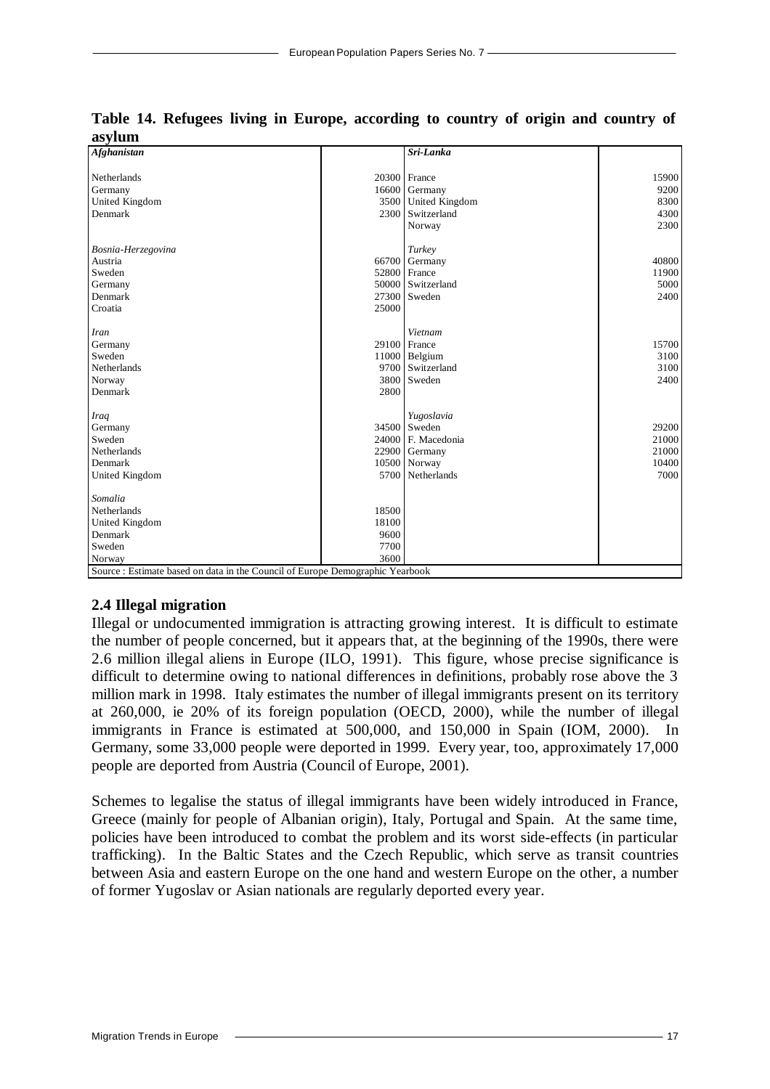| Afghanistan                                                                   |       | Sri-Lanka         |       |
|-------------------------------------------------------------------------------|-------|-------------------|-------|
|                                                                               |       |                   |       |
| Netherlands                                                                   | 20300 | France            | 15900 |
| Germany                                                                       | 16600 | Germany           | 9200  |
| United Kingdom                                                                | 3500  | United Kingdom    | 8300  |
| Denmark                                                                       |       | 2300 Switzerland  | 4300  |
|                                                                               |       | Norway            | 2300  |
| Bosnia-Herzegovina                                                            |       | Turkey            |       |
| Austria                                                                       | 66700 | Germany           | 40800 |
| Sweden                                                                        | 52800 | France            | 11900 |
| Germany                                                                       |       | 50000 Switzerland | 5000  |
| Denmark                                                                       | 27300 | Sweden            | 2400  |
| Croatia                                                                       | 25000 |                   |       |
|                                                                               |       |                   |       |
| Iran                                                                          |       | Vietnam           |       |
| Germany                                                                       |       | 29100 France      | 15700 |
| Sweden                                                                        |       | 11000 Belgium     | 3100  |
| Netherlands                                                                   |       | 9700 Switzerland  | 3100  |
| Norway                                                                        |       | 3800 Sweden       | 2400  |
| Denmark                                                                       | 2800  |                   |       |
| Iraq                                                                          |       | Yugoslavia        |       |
| Germany                                                                       | 34500 | Sweden            | 29200 |
| Sweden                                                                        | 24000 | F. Macedonia      | 21000 |
| Netherlands                                                                   |       | 22900 Germany     | 21000 |
| Denmark                                                                       |       | 10500 Norway      | 10400 |
| United Kingdom                                                                |       | 5700 Netherlands  | 7000  |
|                                                                               |       |                   |       |
| Somalia                                                                       |       |                   |       |
| Netherlands                                                                   | 18500 |                   |       |
| United Kingdom                                                                | 18100 |                   |       |
| Denmark                                                                       | 9600  |                   |       |
| Sweden                                                                        | 7700  |                   |       |
| Norway                                                                        | 3600  |                   |       |
| Source : Estimate based on data in the Council of Europe Demographic Yearbook |       |                   |       |

**Table 14. Refugees living in Europe, according to country of origin and country of asylum** 

#### **2.4 Illegal migration**

Illegal or undocumented immigration is attracting growing interest. It is difficult to estimate the number of people concerned, but it appears that, at the beginning of the 1990s, there were 2.6 million illegal aliens in Europe (ILO, 1991). This figure, whose precise significance is difficult to determine owing to national differences in definitions, probably rose above the 3 million mark in 1998. Italy estimates the number of illegal immigrants present on its territory at 260,000, ie 20% of its foreign population (OECD, 2000), while the number of illegal immigrants in France is estimated at 500,000, and 150,000 in Spain (IOM, 2000). In Germany, some 33,000 people were deported in 1999. Every year, too, approximately 17,000 people are deported from Austria (Council of Europe, 2001).

Schemes to legalise the status of illegal immigrants have been widely introduced in France, Greece (mainly for people of Albanian origin), Italy, Portugal and Spain. At the same time, policies have been introduced to combat the problem and its worst side-effects (in particular trafficking). In the Baltic States and the Czech Republic, which serve as transit countries between Asia and eastern Europe on the one hand and western Europe on the other, a number of former Yugoslav or Asian nationals are regularly deported every year.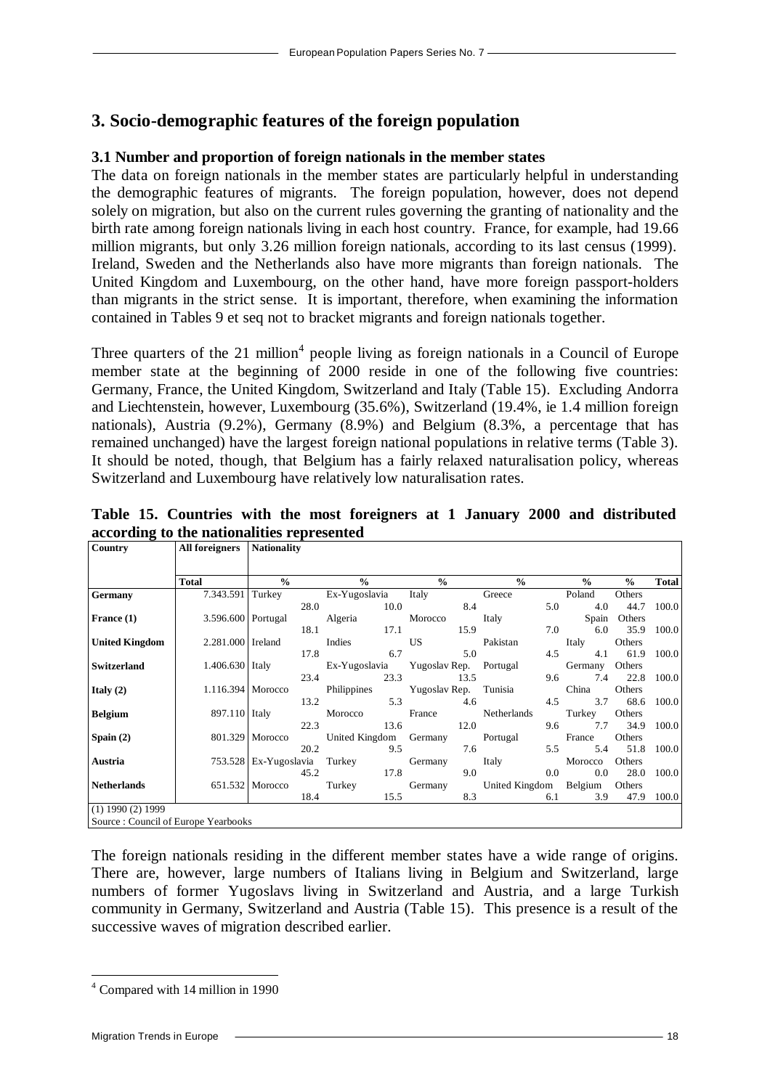## **3. Socio-demographic features of the foreign population**

#### **3.1 Number and proportion of foreign nationals in the member states**

The data on foreign nationals in the member states are particularly helpful in understanding the demographic features of migrants. The foreign population, however, does not depend solely on migration, but also on the current rules governing the granting of nationality and the birth rate among foreign nationals living in each host country. France, for example, had 19.66 million migrants, but only 3.26 million foreign nationals, according to its last census (1999). Ireland, Sweden and the Netherlands also have more migrants than foreign nationals. The United Kingdom and Luxembourg, on the other hand, have more foreign passport-holders than migrants in the strict sense. It is important, therefore, when examining the information contained in Tables 9 et seq not to bracket migrants and foreign nationals together.

Three quarters of the 21 million<sup>4</sup> people living as foreign nationals in a Council of Europe member state at the beginning of 2000 reside in one of the following five countries: Germany, France, the United Kingdom, Switzerland and Italy (Table 15). Excluding Andorra and Liechtenstein, however, Luxembourg (35.6%), Switzerland (19.4%, ie 1.4 million foreign nationals), Austria (9.2%), Germany (8.9%) and Belgium (8.3%, a percentage that has remained unchanged) have the largest foreign national populations in relative terms (Table 3). It should be noted, though, that Belgium has a fairly relaxed naturalisation policy, whereas Switzerland and Luxembourg have relatively low naturalisation rates.

| o<br>Country                                        | <b>All foreigners</b> Nationality                                             |               |                                                                                         |           |               |                    |               |              |
|-----------------------------------------------------|-------------------------------------------------------------------------------|---------------|-----------------------------------------------------------------------------------------|-----------|---------------|--------------------|---------------|--------------|
|                                                     |                                                                               |               |                                                                                         |           |               |                    |               |              |
|                                                     | <b>Total</b>                                                                  | $\frac{0}{0}$ | $\frac{0}{0}$                                                                           | $\%$      | $\frac{0}{0}$ | $\frac{0}{0}$      | $\frac{1}{2}$ | <b>Total</b> |
| <b>Germany</b>                                      |                                                                               |               | 7.343.591 Turkey Ex-Yugoslavia Italy Greece                                             |           |               | Poland             | Others        |              |
|                                                     |                                                                               |               | 28.0 10.0 8.4                                                                           |           |               | 5.0<br>4.0         | 44.7          | 100.0        |
| France $(1)$                                        |                                                                               |               | 3.596.600 Portugal Algeria Morocco Italy                                                |           |               | Spain Others       |               |              |
|                                                     |                                                                               |               | 18.1 17.1 15.9                                                                          |           |               | 7.0 6.0 35.9       |               | 100.0        |
| <b>United Kingdom</b>                               | 2.281.000 Ireland                                                             |               | Indies US<br>Indies US Pakistan<br>17.8 6.7 5.0                                         |           |               | Italy              | Others        |              |
|                                                     |                                                                               |               |                                                                                         |           |               | 4.5 4.1 61.9 100.0 |               |              |
| Switzerland                                         |                                                                               |               | 1.406.630 Italy Ex-Yugoslavia Yugoslav Rep. Portugal                                    |           |               | Germany Others     |               |              |
|                                                     |                                                                               |               | 23.4                                                                                    | 23.3 13.5 |               | 9.6 7.4 22.8 100.0 |               |              |
| Italy $(2)$                                         |                                                                               |               | 1.116.394 Morocco Philippines Yugoslav Rep. Tunisia                                     |           |               | China              | Others        |              |
|                                                     |                                                                               |               | 13.2                                                                                    | 5.3 4.6   |               | 4.5 3.7 68.6 100.0 |               |              |
| <b>Belgium</b>                                      |                                                                               |               | 897.110 Italy Morocco France Netherlands Turkey Others                                  |           |               |                    |               |              |
|                                                     |                                                                               |               | 22.3 13.6 12.0                                                                          |           |               | 9.6 7.7 34.9       |               | 100.0        |
| Spain $(2)$                                         |                                                                               |               | 801.329 Morocco United Kingdom Germany Portugal France                                  |           |               |                    | Others        |              |
|                                                     |                                                                               |               | 20.2 9.5 7.6                                                                            |           |               | 5.5                | 5.4 51.8      | 100.0        |
| Austria                                             |                                                                               |               | 753.528 Ex-Yugoslavia Turkey Germany Italy Morocco Others<br>45.2 17.8 9.0 0.0 0.0 28.0 |           |               |                    |               |              |
|                                                     |                                                                               |               |                                                                                         |           |               | $0.0$ $0.0$ $28.0$ |               | 100.0        |
| <b>Netherlands</b>                                  |                                                                               |               | 651.532 Morocco Turkey Germany United Kingdom Belgium Others                            |           |               |                    |               |              |
|                                                     |                                                                               |               | 18.4 15.5                                                                               |           | 8.3 6.1 3.9   |                    | 47.9          | 100.0        |
| $(1)$ 1990 $(2)$ 1999<br>$\alpha$ $\alpha$ $\alpha$ | $\mathbf{v}$ $\mathbf{v}$ $\mathbf{v}$ $\mathbf{v}$ $\mathbf{v}$ $\mathbf{v}$ |               |                                                                                         |           |               |                    |               |              |

**Table 15. Countries with the most foreigners at 1 January 2000 and distributed according to the nationalities represented**

Source : Council of Europe Yearbooks

The foreign nationals residing in the different member states have a wide range of origins. There are, however, large numbers of Italians living in Belgium and Switzerland, large numbers of former Yugoslavs living in Switzerland and Austria, and a large Turkish community in Germany, Switzerland and Austria (Table 15). This presence is a result of the successive waves of migration described earlier.

l 4 Compared with 14 million in 1990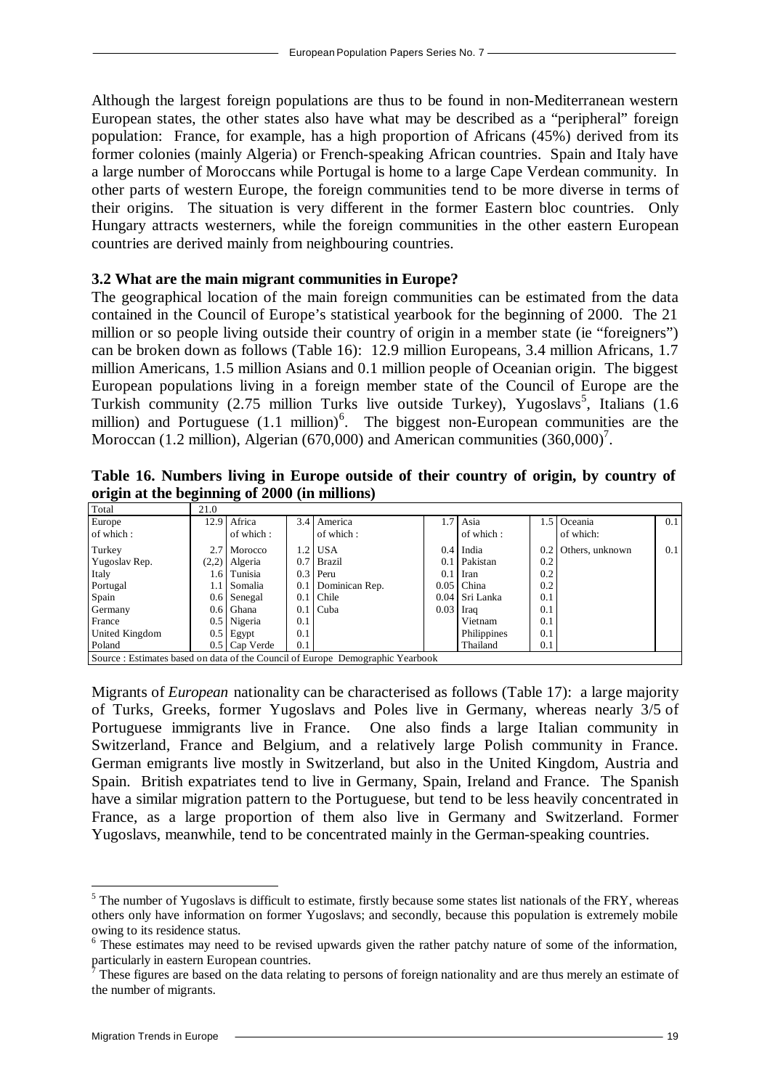Although the largest foreign populations are thus to be found in non-Mediterranean western European states, the other states also have what may be described as a "peripheral" foreign population: France, for example, has a high proportion of Africans (45%) derived from its former colonies (mainly Algeria) or French-speaking African countries. Spain and Italy have a large number of Moroccans while Portugal is home to a large Cape Verdean community. In other parts of western Europe, the foreign communities tend to be more diverse in terms of their origins. The situation is very different in the former Eastern bloc countries. Only Hungary attracts westerners, while the foreign communities in the other eastern European countries are derived mainly from neighbouring countries.

#### **3.2 What are the main migrant communities in Europe?**

The geographical location of the main foreign communities can be estimated from the data contained in the Council of Europe's statistical yearbook for the beginning of 2000. The 21 million or so people living outside their country of origin in a member state (ie "foreigners") can be broken down as follows (Table 16): 12.9 million Europeans, 3.4 million Africans, 1.7 million Americans, 1.5 million Asians and 0.1 million people of Oceanian origin. The biggest European populations living in a foreign member state of the Council of Europe are the Turkish community (2.75 million Turks live outside Turkey), Yugoslavs<sup>5</sup>, Italians (1.6 million) and Portuguese (1.1 million)<sup>6</sup>. The biggest non-European communities are the Moroccan (1.2 million), Algerian (670,000) and American communities  $(360,000)^7$ .

**Table 16. Numbers living in Europe outside of their country of origin, by country of origin at the beginning of 2000 (in millions)** 

| Total          | 21.0 |                 |     |                                                                                |             |                |     |                     |     |
|----------------|------|-----------------|-----|--------------------------------------------------------------------------------|-------------|----------------|-----|---------------------|-----|
| Europe         |      | 12.9 Africa     |     | 3.4 America                                                                    |             | $1.7$ Asia     |     | 1.5 Oceania         | 0.1 |
| of which:      |      | of which:       |     | of which:                                                                      |             | of which:      |     | of which:           |     |
| Turkey         |      | 2.7 Morocco     |     | 1.2   USA                                                                      |             | $0.4$ India    |     | 0.2 Others, unknown | 0.1 |
| Yugoslav Rep.  |      | $(2,2)$ Algeria |     | 0.7 Brazil                                                                     |             | 0.1 Pakistan   | 0.2 |                     |     |
| Italy          |      | 1.6   Tunisia   |     | $0.3$ Peru                                                                     | 0.1         | Iran           | 0.2 |                     |     |
| Portugal       |      | 1.1   Somalia   |     | 0.1 Dominican Rep.                                                             |             | $0.05$ China   | 0.2 |                     |     |
| Spain          |      | 0.6 Senegal     | 0.1 | <b>Chile</b>                                                                   |             | 0.04 Sri Lanka | 0.1 |                     |     |
| Germany        |      | $0.6$ Ghana     |     | $0.1$ Cuba                                                                     | $0.03$ Iraq |                | 0.1 |                     |     |
| France         |      | 0.5 Nigeria     | 0.1 |                                                                                |             | Vietnam        | 0.1 |                     |     |
| United Kingdom |      | $0.5$ Egypt     | 0.1 |                                                                                |             | Philippines    | 0.1 |                     |     |
| Poland         |      | 0.5 Cap Verde   | 0.1 |                                                                                |             | Thailand       | 0.1 |                     |     |
|                |      |                 |     | Source : Estimates based on data of the Council of Europe Demographic Yearbook |             |                |     |                     |     |

Migrants of *European* nationality can be characterised as follows (Table 17): a large majority of Turks, Greeks, former Yugoslavs and Poles live in Germany, whereas nearly 3/5 of Portuguese immigrants live in France. One also finds a large Italian community in Switzerland, France and Belgium, and a relatively large Polish community in France. German emigrants live mostly in Switzerland, but also in the United Kingdom, Austria and Spain. British expatriates tend to live in Germany, Spain, Ireland and France. The Spanish have a similar migration pattern to the Portuguese, but tend to be less heavily concentrated in France, as a large proportion of them also live in Germany and Switzerland. Former Yugoslavs, meanwhile, tend to be concentrated mainly in the German-speaking countries.

l

 $<sup>5</sup>$  The number of Yugoslavs is difficult to estimate, firstly because some states list nationals of the FRY, whereas</sup> others only have information on former Yugoslavs; and secondly, because this population is extremely mobile owing to its residence status.

<sup>&</sup>lt;sup>6</sup> These estimates may need to be revised upwards given the rather patchy nature of some of the information, particularly in eastern European countries.

 $\bar{7}$  These figures are based on the data relating to persons of foreign nationality and are thus merely an estimate of the number of migrants.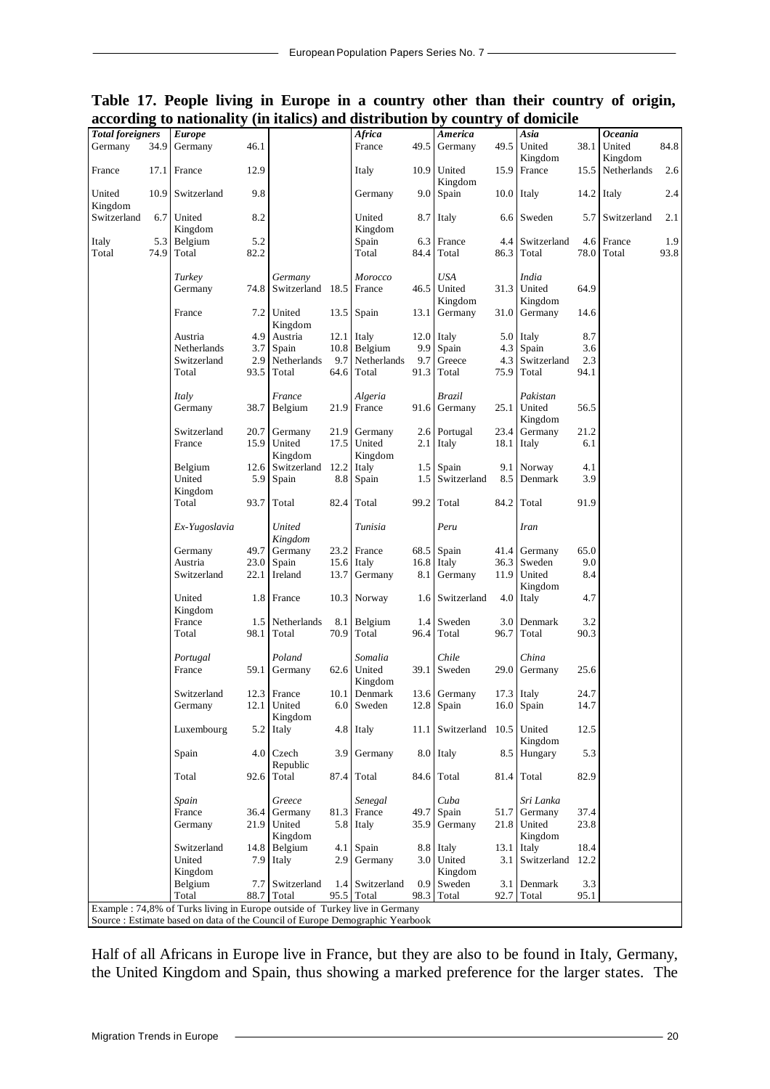| Table 17. People living in Europe in a country other than their country of origin, |  |  |  |  |  |  |  |
|------------------------------------------------------------------------------------|--|--|--|--|--|--|--|
| according to nationality (in italics) and distribution by country of domicile      |  |  |  |  |  |  |  |

| <b>Total foreigners</b> |             | <b>Europe</b>                                                                                                                                                |                  |                        |              | Africa            |                  | America                      |             | Asia                    |             | <b>Oceania</b>    |             |
|-------------------------|-------------|--------------------------------------------------------------------------------------------------------------------------------------------------------------|------------------|------------------------|--------------|-------------------|------------------|------------------------------|-------------|-------------------------|-------------|-------------------|-------------|
| Germany                 | 34.9        | Germany                                                                                                                                                      | 46.1             |                        |              | France            |                  | 49.5 Germany                 | 49.5        | United<br>Kingdom       | 38.1        | United<br>Kingdom | 84.8        |
| France                  | 17.1        | France                                                                                                                                                       | 12.9             |                        |              | Italy             |                  | 10.9 United<br>Kingdom       | 15.9        | France                  | 15.5        | Netherlands       | 2.6         |
| United<br>Kingdom       |             | 10.9 Switzerland                                                                                                                                             | 9.8              |                        |              | Germany           | 9.0 <sub>1</sub> | Spain                        |             | $10.0$ Italy            |             | $14.2$ Italy      | 2.4         |
| Switzerland             | 6.7         | United<br>Kingdom                                                                                                                                            | 8.2              |                        |              | United<br>Kingdom |                  | 8.7 Italy                    |             | 6.6 Sweden              |             | 5.7 Switzerland   | 2.1         |
| Italy<br>Total          | 5.3<br>74.9 | Belgium<br>Total                                                                                                                                             | 5.2<br>82.2      |                        |              | Spain<br>Total    | 6.3<br>84.4      | France<br>Total              | 4.4<br>86.3 | Switzerland<br>Total    | 4.6<br>78.0 | France<br>Total   | 1.9<br>93.8 |
|                         |             |                                                                                                                                                              |                  |                        |              |                   |                  |                              |             |                         |             |                   |             |
|                         |             | Turkey                                                                                                                                                       |                  | Germany                |              | <b>Morocco</b>    |                  | USA                          |             | India                   |             |                   |             |
|                         |             | Germany                                                                                                                                                      |                  | 74.8 Switzerland 18.5  |              | France            | 46.5             | United                       |             | 31.3 United             | 64.9        |                   |             |
|                         |             |                                                                                                                                                              |                  | United                 |              | $13.5$ Spain      |                  | Kingdom                      |             | Kingdom<br>Germany      | 14.6        |                   |             |
|                         |             | France                                                                                                                                                       | 7.2 <sub>1</sub> | Kingdom                |              |                   | 13.1             | Germany                      | 31.0        |                         |             |                   |             |
|                         |             | Austria                                                                                                                                                      | 4.9              | Austria                |              | $12.1$ Italy      |                  | $12.0$ Italy                 |             | $5.0$ Italy             | 8.7         |                   |             |
|                         |             | Netherlands                                                                                                                                                  | 3.7 <sub>1</sub> | Spain                  |              | 10.8 Belgium      | 9.9              | Spain                        |             | 4.3 Spain               | 3.6         |                   |             |
|                         |             | Switzerland                                                                                                                                                  |                  | 2.9 Netherlands        | 9.7          | Netherlands       | 9.7              | Greece                       | 4.3         | Switzerland             | 2.3         |                   |             |
|                         |             | Total                                                                                                                                                        |                  | 93.5 Total             | 64.6         | Total             |                  | 91.3 Total                   | 75.9        | Total                   | 94.1        |                   |             |
|                         |             | Italy<br>Germany                                                                                                                                             |                  | France<br>38.7 Belgium | 21.9         | Algeria<br>France |                  | Brazil<br>91.6 Germany       |             | Pakistan<br>25.1 United | 56.5        |                   |             |
|                         |             | Switzerland                                                                                                                                                  |                  |                        |              |                   |                  |                              |             | Kingdom                 | 21.2        |                   |             |
|                         |             | France                                                                                                                                                       | 20.7<br>15.9     | Germany<br>United      | 21.9<br>17.5 | Germany<br>United |                  | 2.6 Portugal<br>$2.1$ Italy  | 23.4        | Germany<br>18.1 Italy   | 6.1         |                   |             |
|                         |             |                                                                                                                                                              |                  | Kingdom                |              | Kingdom           |                  |                              |             |                         |             |                   |             |
|                         |             | Belgium                                                                                                                                                      | 12.6             | Switzerland            |              | $12.2$ Italy      |                  | $1.5$ Spain                  |             | 9.1 Norway              | 4.1         |                   |             |
|                         |             | United                                                                                                                                                       | 5.9              | Spain                  | 8.8          | Spain             |                  | 1.5 Switzerland              |             | 8.5 Denmark             | 3.9         |                   |             |
|                         |             | Kingdom                                                                                                                                                      |                  |                        |              |                   |                  |                              |             |                         |             |                   |             |
|                         |             | Total                                                                                                                                                        | 93.7             | Total                  | 82.4         | Total             |                  | 99.2 Total                   | 84.2        | Total                   | 91.9        |                   |             |
|                         |             | Ex-Yugoslavia                                                                                                                                                |                  | United<br>Kingdom      |              | Tunisia           |                  | Peru                         |             | <b>Iran</b>             |             |                   |             |
|                         |             | Germany                                                                                                                                                      | 49.7             | Germany                |              | 23.2 France       | 68.5             | Spain                        |             | 41.4 Germany            | 65.0        |                   |             |
|                         |             | Austria                                                                                                                                                      | 23.0             | Spain                  |              | $15.6$ Italy      | 16.8             | Italy                        |             | 36.3 Sweden             | 9.0         |                   |             |
|                         |             | Switzerland                                                                                                                                                  | 22.1             | Ireland                | 13.7         | Germany           | 8.1              | Germany                      |             | 11.9 United<br>Kingdom  | 8.4         |                   |             |
|                         |             | United<br>Kingdom                                                                                                                                            |                  | 1.8 France             |              | 10.3 Norway       | 1.6              | Switzerland                  |             | 4.0 Italy               | 4.7         |                   |             |
|                         |             | France                                                                                                                                                       | 1.5              | Netherlands            |              | 8.1 Belgium       | 1.4              | Sweden                       |             | 3.0 Denmark             | 3.2         |                   |             |
|                         |             | Total                                                                                                                                                        | 98.1             | Total                  | 70.9         | Total             | 96.4             | Total                        | 96.7        | Total                   | 90.3        |                   |             |
|                         |             | Portugal                                                                                                                                                     |                  | Poland                 |              | Somalia           |                  | Chile                        |             | China                   |             |                   |             |
|                         |             | France                                                                                                                                                       | 59.1             | Germany                |              | 62.6 United       |                  | 39.1 Sweden                  | 29.0        | Germany                 | 25.6        |                   |             |
|                         |             |                                                                                                                                                              |                  |                        |              | Kingdom           |                  |                              |             |                         |             |                   |             |
|                         |             | Switzerland                                                                                                                                                  |                  | 12.3 France            | 10.1         | Denmark           |                  | 13.6 Germany                 |             | $17.3$ Italy            | 24.7        |                   |             |
|                         |             | Germany                                                                                                                                                      |                  | 12.1 United            |              | 6.0 Sweden        |                  | 12.8 Spain                   |             | 16.0 Spain              | 14.7        |                   |             |
|                         |             | Luxembourg                                                                                                                                                   |                  | Kingdom<br>$5.2$ Italy |              | 4.8 Italy         |                  | 11.1 Switzerland 10.5 United |             |                         | 12.5        |                   |             |
|                         |             | Spain                                                                                                                                                        |                  | 4.0 Czech              | 3.9          | Germany           |                  | 8.0 Italy                    |             | Kingdom<br>8.5 Hungary  | 5.3         |                   |             |
|                         |             | Total                                                                                                                                                        |                  | Republic<br>92.6 Total |              | $87.4$ Total      |                  | 84.6 Total                   |             | 81.4 Total              | 82.9        |                   |             |
|                         |             |                                                                                                                                                              |                  |                        |              |                   |                  | Cuba                         |             |                         |             |                   |             |
|                         |             | Spain<br>France                                                                                                                                              | 36.4             | Greece<br>Germany      | 81.3         | Senegal<br>France | 49.7             | Spain                        | 51.7        | Sri Lanka<br>Germany    | 37.4        |                   |             |
|                         |             | Germany                                                                                                                                                      | 21.9             | United                 |              | 5.8 Italy         | 35.9             | Germany                      | 21.8        | United                  | 23.8        |                   |             |
|                         |             |                                                                                                                                                              |                  | Kingdom                |              |                   |                  |                              |             | Kingdom                 |             |                   |             |
|                         |             | Switzerland                                                                                                                                                  |                  | 14.8 Belgium           |              | 4.1 Spain         |                  | 8.8 Italy                    | 13.1        | Italy                   | 18.4        |                   |             |
|                         |             | United                                                                                                                                                       | 7.9              | Italy                  | 2.9          | Germany           | 3.0              | United                       |             | 3.1 Switzerland         | 12.2        |                   |             |
|                         |             | Kingdom                                                                                                                                                      |                  |                        |              |                   |                  | Kingdom                      |             |                         |             |                   |             |
|                         |             | Belgium                                                                                                                                                      | 7.7              | Switzerland            | 1.4          | Switzerland       | 0.9              | Sweden                       |             | 3.1 Denmark             | 3.3         |                   |             |
|                         |             | Total                                                                                                                                                        |                  | 88.7 Total             | 95.5         | Total             |                  | 98.3 Total                   |             | 92.7 Total              | 95.1        |                   |             |
|                         |             | Example : 74,8% of Turks living in Europe outside of Turkey live in Germany<br>Source : Estimate based on data of the Council of Europe Demographic Yearbook |                  |                        |              |                   |                  |                              |             |                         |             |                   |             |

Half of all Africans in Europe live in France, but they are also to be found in Italy, Germany, the United Kingdom and Spain, thus showing a marked preference for the larger states. The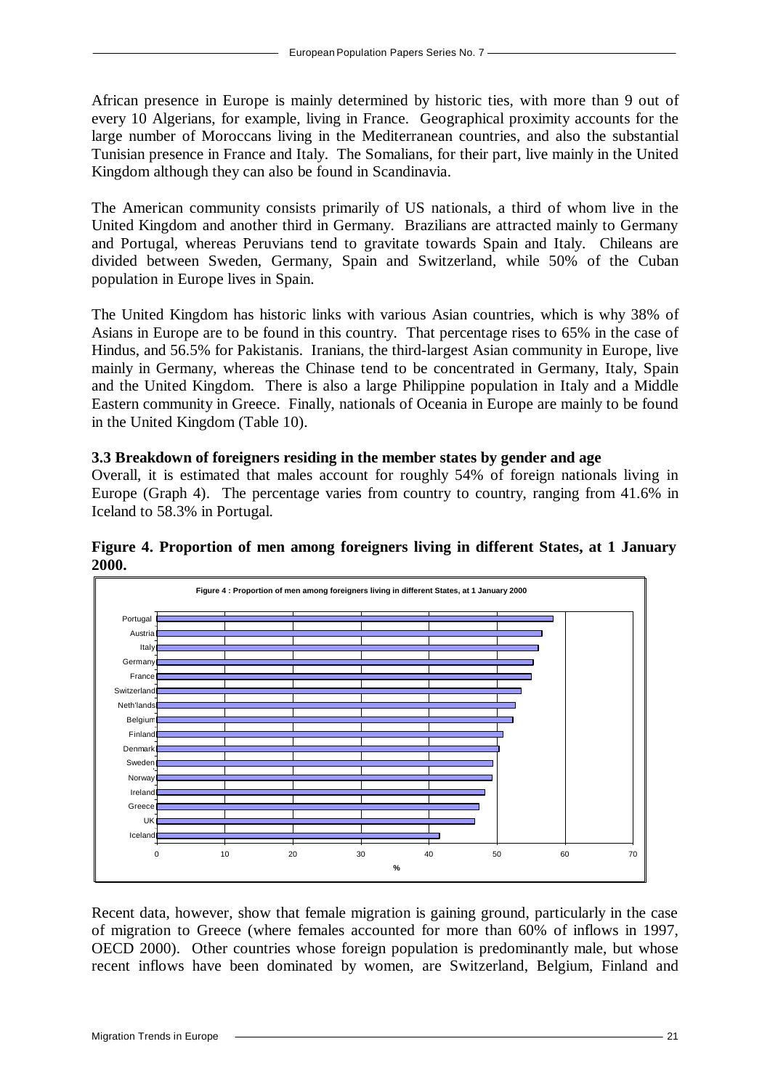African presence in Europe is mainly determined by historic ties, with more than 9 out of every 10 Algerians, for example, living in France. Geographical proximity accounts for the large number of Moroccans living in the Mediterranean countries, and also the substantial Tunisian presence in France and Italy. The Somalians, for their part, live mainly in the United Kingdom although they can also be found in Scandinavia.

The American community consists primarily of US nationals, a third of whom live in the United Kingdom and another third in Germany. Brazilians are attracted mainly to Germany and Portugal, whereas Peruvians tend to gravitate towards Spain and Italy. Chileans are divided between Sweden, Germany, Spain and Switzerland, while 50% of the Cuban population in Europe lives in Spain.

The United Kingdom has historic links with various Asian countries, which is why 38% of Asians in Europe are to be found in this country. That percentage rises to 65% in the case of Hindus, and 56.5% for Pakistanis. Iranians, the third-largest Asian community in Europe, live mainly in Germany, whereas the Chinase tend to be concentrated in Germany, Italy, Spain and the United Kingdom. There is also a large Philippine population in Italy and a Middle Eastern community in Greece. Finally, nationals of Oceania in Europe are mainly to be found in the United Kingdom (Table 10).

#### **3.3 Breakdown of foreigners residing in the member states by gender and age**

Overall, it is estimated that males account for roughly 54% of foreign nationals living in Europe (Graph 4). The percentage varies from country to country, ranging from 41.6% in Iceland to 58.3% in Portugal.



**Figure 4. Proportion of men among foreigners living in different States, at 1 January 2000.**

Recent data, however, show that female migration is gaining ground, particularly in the case of migration to Greece (where females accounted for more than 60% of inflows in 1997, OECD 2000). Other countries whose foreign population is predominantly male, but whose recent inflows have been dominated by women, are Switzerland, Belgium, Finland and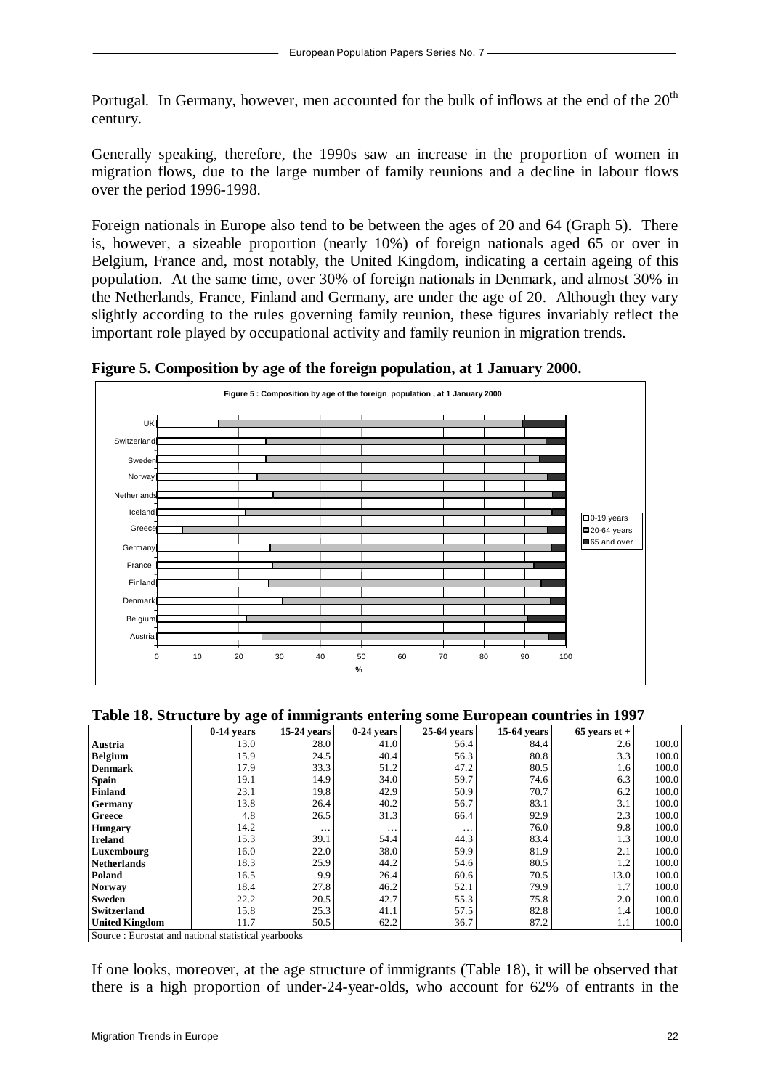Portugal. In Germany, however, men accounted for the bulk of inflows at the end of the  $20<sup>th</sup>$ century.

Generally speaking, therefore, the 1990s saw an increase in the proportion of women in migration flows, due to the large number of family reunions and a decline in labour flows over the period 1996-1998.

Foreign nationals in Europe also tend to be between the ages of 20 and 64 (Graph 5). There is, however, a sizeable proportion (nearly 10%) of foreign nationals aged 65 or over in Belgium, France and, most notably, the United Kingdom, indicating a certain ageing of this population. At the same time, over 30% of foreign nationals in Denmark, and almost 30% in the Netherlands, France, Finland and Germany, are under the age of 20. Although they vary slightly according to the rules governing family reunion, these figures invariably reflect the important role played by occupational activity and family reunion in migration trends.



**Figure 5. Composition by age of the foreign population, at 1 January 2000.**

**Table 18. Structure by age of immigrants entering some European countries in 1997**

|                                                     | $0-14$ years | 15-24 years | $0-24$ years | 25-64 years | <b>15-64 years</b> | $65$ years et + |       |
|-----------------------------------------------------|--------------|-------------|--------------|-------------|--------------------|-----------------|-------|
| Austria                                             | 13.0         | 28.0        | 41.0         | 56.4        | 84.4               | 2.6             | 100.0 |
| <b>Belgium</b>                                      | 15.9         | 24.5        | 40.4         | 56.3        | 80.8               | 3.3             | 100.0 |
| <b>Denmark</b>                                      | 17.9         | 33.3        | 51.2         | 47.2        | 80.5               | 1.6             | 100.0 |
| <b>Spain</b>                                        | 19.1         | 14.9        | 34.0         | 59.7        | 74.6               | 6.3             | 100.0 |
| Finland                                             | 23.1         | 19.8        | 42.9         | 50.9        | 70.7               | 6.2             | 100.0 |
| <b>Germany</b>                                      | 13.8         | 26.4        | 40.2         | 56.7        | 83.1               | 3.1             | 100.0 |
| Greece                                              | 4.8          | 26.5        | 31.3         | 66.4        | 92.9               | 2.3             | 100.0 |
| <b>Hungary</b>                                      | 14.2         | $\cdots$    | $\cdots$     | $\cdots$    | 76.0               | 9.8             | 100.0 |
| <b>Ireland</b>                                      | 15.3         | 39.1        | 54.4         | 44.3        | 83.4               | 1.3             | 100.0 |
| Luxembourg                                          | 16.0         | 22.0        | 38.0         | 59.9        | 81.9               | 2.1             | 100.0 |
| <b>Netherlands</b>                                  | 18.3         | 25.9        | 44.2         | 54.6        | 80.5               | 1.2             | 100.0 |
| Poland                                              | 16.5         | 9.9         | 26.4         | 60.6        | 70.5               | 13.0            | 100.0 |
| <b>Norway</b>                                       | 18.4         | 27.8        | 46.2         | 52.1        | 79.9               | 1.7             | 100.0 |
| <b>Sweden</b>                                       | 22.2         | 20.5        | 42.7         | 55.3        | 75.8               | 2.0             | 100.0 |
| <b>Switzerland</b>                                  | 15.8         | 25.3        | 41.1         | 57.5        | 82.8               | 1.4             | 100.0 |
| <b>United Kingdom</b>                               | 11.7         | 50.5        | 62.2         | 36.7        | 87.2               | 1.1             | 100.0 |
| Source: Eurostat and national statistical yearbooks |              |             |              |             |                    |                 |       |

If one looks, moreover, at the age structure of immigrants (Table 18), it will be observed that there is a high proportion of under-24-year-olds, who account for 62% of entrants in the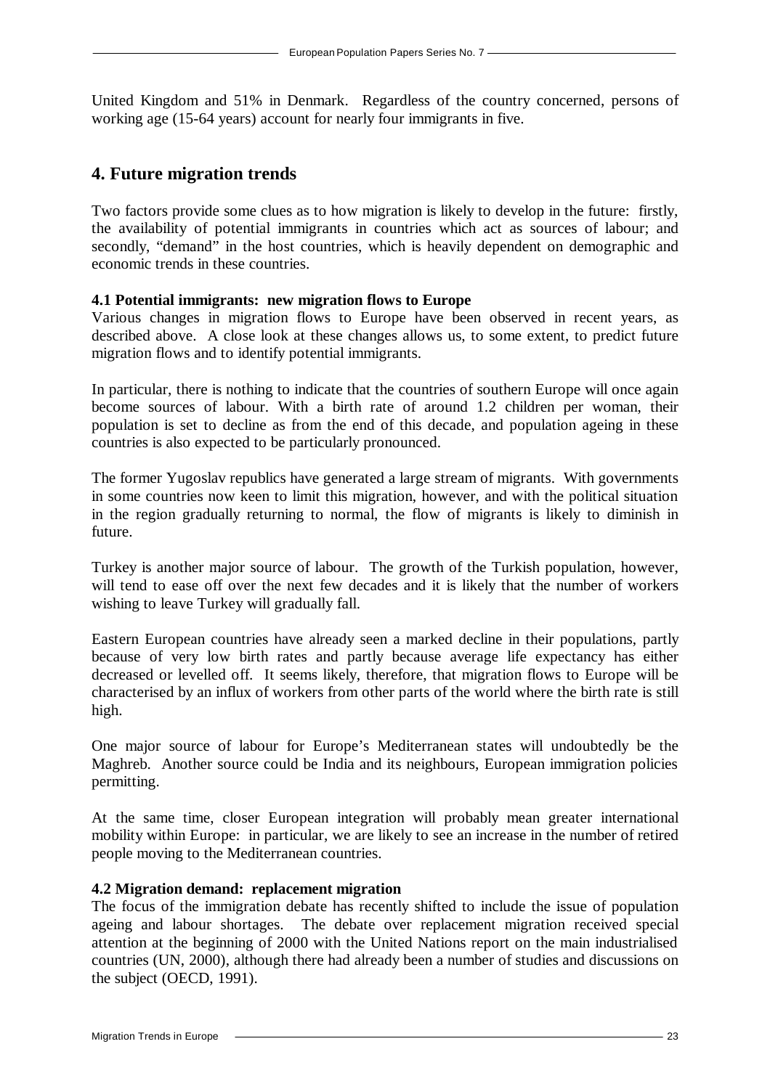United Kingdom and 51% in Denmark. Regardless of the country concerned, persons of working age (15-64 years) account for nearly four immigrants in five.

## **4. Future migration trends**

Two factors provide some clues as to how migration is likely to develop in the future: firstly, the availability of potential immigrants in countries which act as sources of labour; and secondly, "demand" in the host countries, which is heavily dependent on demographic and economic trends in these countries.

#### **4.1 Potential immigrants: new migration flows to Europe**

Various changes in migration flows to Europe have been observed in recent years, as described above. A close look at these changes allows us, to some extent, to predict future migration flows and to identify potential immigrants.

In particular, there is nothing to indicate that the countries of southern Europe will once again become sources of labour. With a birth rate of around 1.2 children per woman, their population is set to decline as from the end of this decade, and population ageing in these countries is also expected to be particularly pronounced.

The former Yugoslav republics have generated a large stream of migrants. With governments in some countries now keen to limit this migration, however, and with the political situation in the region gradually returning to normal, the flow of migrants is likely to diminish in future.

Turkey is another major source of labour. The growth of the Turkish population, however, will tend to ease off over the next few decades and it is likely that the number of workers wishing to leave Turkey will gradually fall.

Eastern European countries have already seen a marked decline in their populations, partly because of very low birth rates and partly because average life expectancy has either decreased or levelled off. It seems likely, therefore, that migration flows to Europe will be characterised by an influx of workers from other parts of the world where the birth rate is still high.

One major source of labour for Europe's Mediterranean states will undoubtedly be the Maghreb. Another source could be India and its neighbours, European immigration policies permitting.

At the same time, closer European integration will probably mean greater international mobility within Europe: in particular, we are likely to see an increase in the number of retired people moving to the Mediterranean countries.

## **4.2 Migration demand: replacement migration**

The focus of the immigration debate has recently shifted to include the issue of population ageing and labour shortages. The debate over replacement migration received special attention at the beginning of 2000 with the United Nations report on the main industrialised countries (UN, 2000), although there had already been a number of studies and discussions on the subject (OECD, 1991).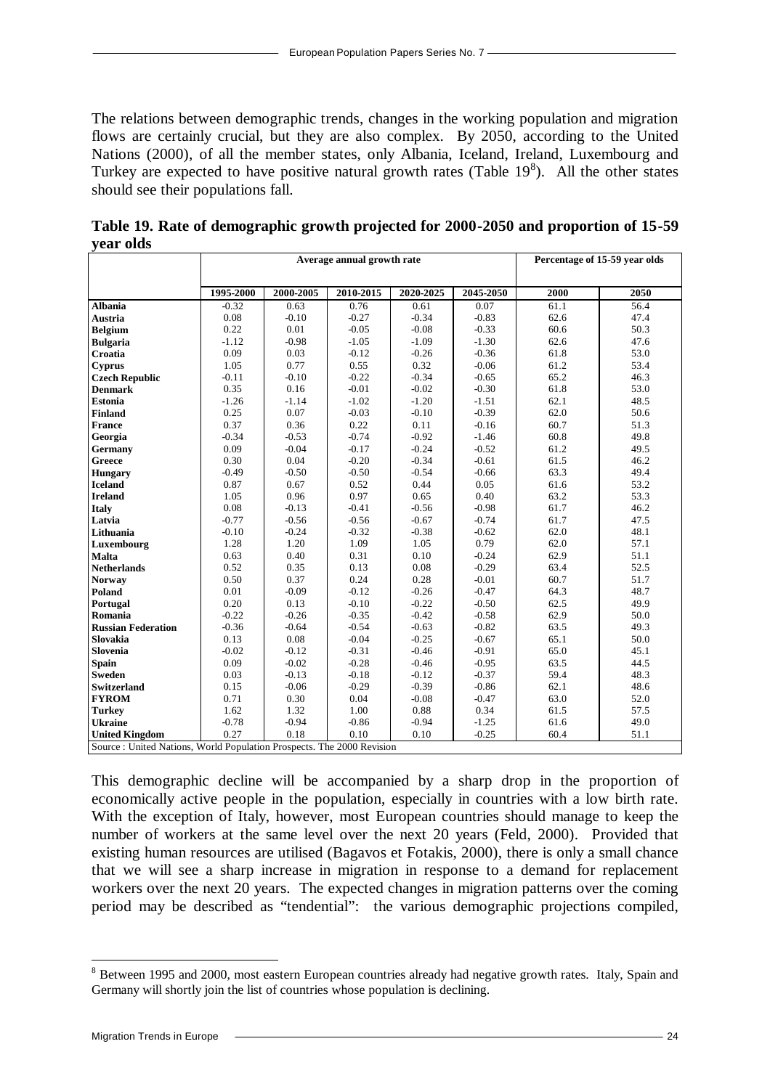The relations between demographic trends, changes in the working population and migration flows are certainly crucial, but they are also complex. By 2050, according to the United Nations (2000), of all the member states, only Albania, Iceland, Ireland, Luxembourg and Turkey are expected to have positive natural growth rates (Table  $19<sup>8</sup>$ ). All the other states should see their populations fall.

|                                                                        | Average annual growth rate |           |           |           | Percentage of 15-59 year olds |      |      |
|------------------------------------------------------------------------|----------------------------|-----------|-----------|-----------|-------------------------------|------|------|
|                                                                        |                            |           |           |           |                               |      |      |
|                                                                        | 1995-2000                  | 2000-2005 | 2010-2015 | 2020-2025 | 2045-2050                     | 2000 | 2050 |
| <b>Albania</b>                                                         | $-0.32$                    | 0.63      | 0.76      | 0.61      | 0.07                          | 61.1 | 56.4 |
| <b>Austria</b>                                                         | 0.08                       | $-0.10$   | $-0.27$   | $-0.34$   | $-0.83$                       | 62.6 | 47.4 |
| <b>Belgium</b>                                                         | 0.22                       | 0.01      | $-0.05$   | $-0.08$   | $-0.33$                       | 60.6 | 50.3 |
| <b>Bulgaria</b>                                                        | $-1.12$                    | $-0.98$   | $-1.05$   | $-1.09$   | $-1.30$                       | 62.6 | 47.6 |
| Croatia                                                                | 0.09                       | 0.03      | $-0.12$   | $-0.26$   | $-0.36$                       | 61.8 | 53.0 |
| <b>Cyprus</b>                                                          | 1.05                       | 0.77      | 0.55      | 0.32      | $-0.06$                       | 61.2 | 53.4 |
| <b>Czech Republic</b>                                                  | $-0.11$                    | $-0.10$   | $-0.22$   | $-0.34$   | $-0.65$                       | 65.2 | 46.3 |
| <b>Denmark</b>                                                         | 0.35                       | 0.16      | $-0.01$   | $-0.02$   | $-0.30$                       | 61.8 | 53.0 |
| <b>Estonia</b>                                                         | $-1.26$                    | $-1.14$   | $-1.02$   | $-1.20$   | $-1.51$                       | 62.1 | 48.5 |
| <b>Finland</b>                                                         | 0.25                       | 0.07      | $-0.03$   | $-0.10$   | $-0.39$                       | 62.0 | 50.6 |
| <b>France</b>                                                          | 0.37                       | 0.36      | 0.22      | 0.11      | $-0.16$                       | 60.7 | 51.3 |
| Georgia                                                                | $-0.34$                    | $-0.53$   | $-0.74$   | $-0.92$   | $-1.46$                       | 60.8 | 49.8 |
| <b>Germany</b>                                                         | 0.09                       | $-0.04$   | $-0.17$   | $-0.24$   | $-0.52$                       | 61.2 | 49.5 |
| Greece                                                                 | 0.30                       | 0.04      | $-0.20$   | $-0.34$   | $-0.61$                       | 61.5 | 46.2 |
| <b>Hungary</b>                                                         | $-0.49$                    | $-0.50$   | $-0.50$   | $-0.54$   | $-0.66$                       | 63.3 | 49.4 |
| <b>Iceland</b>                                                         | 0.87                       | 0.67      | 0.52      | 0.44      | 0.05                          | 61.6 | 53.2 |
| <b>Ireland</b>                                                         | 1.05                       | 0.96      | 0.97      | 0.65      | 0.40                          | 63.2 | 53.3 |
| Italy                                                                  | 0.08                       | $-0.13$   | $-0.41$   | $-0.56$   | $-0.98$                       | 61.7 | 46.2 |
| Latvia                                                                 | $-0.77$                    | $-0.56$   | $-0.56$   | $-0.67$   | $-0.74$                       | 61.7 | 47.5 |
| Lithuania                                                              | $-0.10$                    | $-0.24$   | $-0.32$   | $-0.38$   | $-0.62$                       | 62.0 | 48.1 |
| Luxembourg                                                             | 1.28                       | 1.20      | 1.09      | 1.05      | 0.79                          | 62.0 | 57.1 |
| <b>Malta</b>                                                           | 0.63                       | 0.40      | 0.31      | 0.10      | $-0.24$                       | 62.9 | 51.1 |
| <b>Netherlands</b>                                                     | 0.52                       | 0.35      | 0.13      | 0.08      | $-0.29$                       | 63.4 | 52.5 |
| Norway                                                                 | 0.50                       | 0.37      | 0.24      | 0.28      | $-0.01$                       | 60.7 | 51.7 |
| Poland                                                                 | 0.01                       | $-0.09$   | $-0.12$   | $-0.26$   | $-0.47$                       | 64.3 | 48.7 |
| Portugal                                                               | 0.20                       | 0.13      | $-0.10$   | $-0.22$   | $-0.50$                       | 62.5 | 49.9 |
| Romania                                                                | $-0.22$                    | $-0.26$   | $-0.35$   | $-0.42$   | $-0.58$                       | 62.9 | 50.0 |
| <b>Russian Federation</b>                                              | $-0.36$                    | $-0.64$   | $-0.54$   | $-0.63$   | $-0.82$                       | 63.5 | 49.3 |
| Slovakia                                                               | 0.13                       | 0.08      | $-0.04$   | $-0.25$   | $-0.67$                       | 65.1 | 50.0 |
| Slovenia                                                               | $-0.02$                    | $-0.12$   | $-0.31$   | $-0.46$   | $-0.91$                       | 65.0 | 45.1 |
| <b>Spain</b>                                                           | 0.09                       | $-0.02$   | $-0.28$   | $-0.46$   | $-0.95$                       | 63.5 | 44.5 |
| <b>Sweden</b>                                                          | 0.03                       | $-0.13$   | $-0.18$   | $-0.12$   | $-0.37$                       | 59.4 | 48.3 |
| <b>Switzerland</b>                                                     | 0.15                       | $-0.06$   | $-0.29$   | $-0.39$   | $-0.86$                       | 62.1 | 48.6 |
| <b>FYROM</b>                                                           | 0.71                       | 0.30      | 0.04      | $-0.08$   | $-0.47$                       | 63.0 | 52.0 |
| <b>Turkey</b>                                                          | 1.62                       | 1.32      | 1.00      | 0.88      | 0.34                          | 61.5 | 57.5 |
| <b>Ukraine</b>                                                         | $-0.78$                    | $-0.94$   | $-0.86$   | $-0.94$   | $-1.25$                       | 61.6 | 49.0 |
| <b>United Kingdom</b>                                                  | 0.27                       | 0.18      | 0.10      | 0.10      | $-0.25$                       | 60.4 | 51.1 |
| Source : United Nations, World Population Prospects. The 2000 Revision |                            |           |           |           |                               |      |      |

**Table 19. Rate of demographic growth projected for 2000-2050 and proportion of 15-59 year olds**

This demographic decline will be accompanied by a sharp drop in the proportion of economically active people in the population, especially in countries with a low birth rate. With the exception of Italy, however, most European countries should manage to keep the number of workers at the same level over the next 20 years (Feld, 2000). Provided that existing human resources are utilised (Bagavos et Fotakis, 2000), there is only a small chance that we will see a sharp increase in migration in response to a demand for replacement workers over the next 20 years. The expected changes in migration patterns over the coming period may be described as "tendential": the various demographic projections compiled,

 $\overline{a}$ 

<sup>&</sup>lt;sup>8</sup> Between 1995 and 2000, most eastern European countries already had negative growth rates. Italy, Spain and Germany will shortly join the list of countries whose population is declining.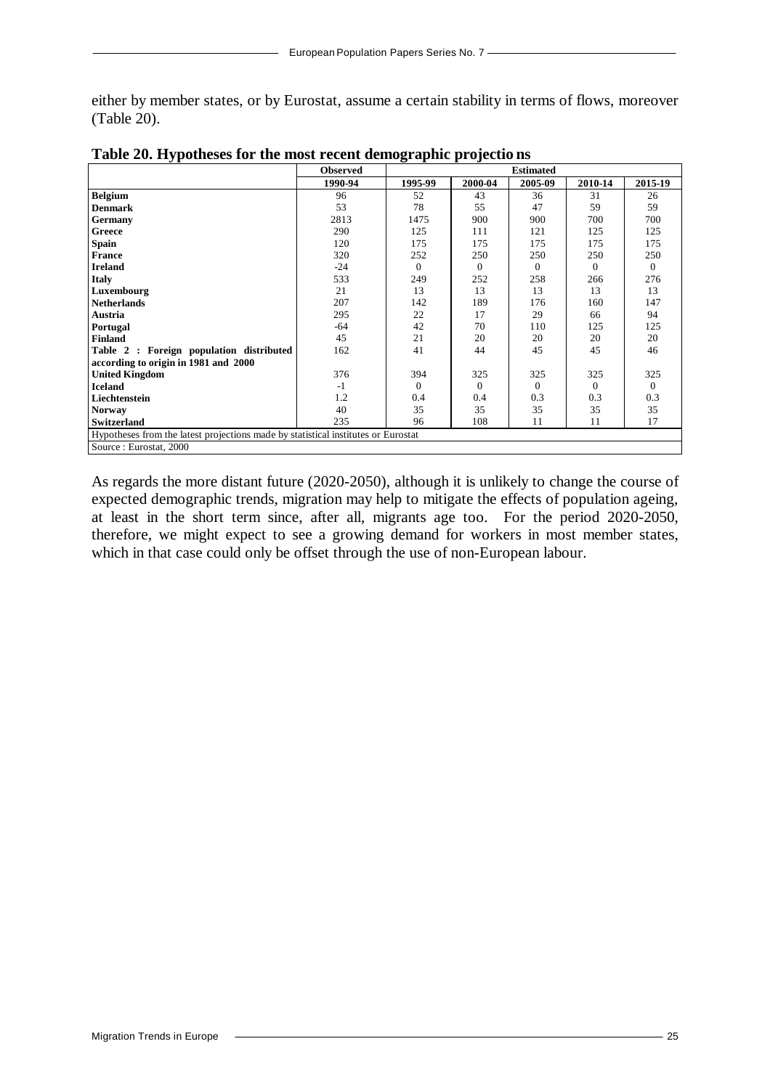either by member states, or by Eurostat, assume a certain stability in terms of flows, moreover (Table 20).

|                                                                                   | <b>Observed</b> | <b>Estimated</b> |          |              |          |                |
|-----------------------------------------------------------------------------------|-----------------|------------------|----------|--------------|----------|----------------|
|                                                                                   | 1990-94         | 1995-99          | 2000-04  | 2005-09      | 2010-14  | 2015-19        |
| <b>Belgium</b>                                                                    | 96              | 52               | 43       | 36           | 31       | 26             |
| <b>Denmark</b>                                                                    | 53              | 78               | 55       | 47           | 59       | 59             |
| Germany                                                                           | 2813            | 1475             | 900      | 900          | 700      | 700            |
| Greece                                                                            | 290             | 125              | 111      | 121          | 125      | 125            |
| Spain                                                                             | 120             | 175              | 175      | 175          | 175      | 175            |
| <b>France</b>                                                                     | 320             | 252              | 250      | 250          | 250      | 250            |
| <b>Ireland</b>                                                                    | $-24$           | $\Omega$         | $\Omega$ | $\Omega$     | $\Omega$ | $\Omega$       |
| <b>Italy</b>                                                                      | 533             | 249              | 252      | 258          | 266      | 276            |
| Luxembourg                                                                        | 21              | 13               | 13       | 13           | 13       | 13             |
| <b>Netherlands</b>                                                                | 207             | 142              | 189      | 176          | 160      | 147            |
| Austria                                                                           | 295             | 22               | 17       | 29           | 66       | 94             |
| Portugal                                                                          | -64             | 42               | 70       | 110          | 125      | 125            |
| <b>Finland</b>                                                                    | 45              | 21               | 20       | 20           | 20       | 20             |
| Table 2 : Foreign population distributed                                          | 162             | 41               | 44       | 45           | 45       | 46             |
| according to origin in 1981 and 2000                                              |                 |                  |          |              |          |                |
| <b>United Kingdom</b>                                                             | 376             | 394              | 325      | 325          | 325      | 325            |
| <b>Iceland</b>                                                                    | $-1$            | $\mathbf{0}$     | $\Omega$ | $\mathbf{0}$ | $\Omega$ | $\overline{0}$ |
| Liechtenstein                                                                     | 1.2             | 0.4              | 0.4      | 0.3          | 0.3      | 0.3            |
| <b>Norway</b>                                                                     | 40              | 35               | 35       | 35           | 35       | 35             |
| <b>Switzerland</b>                                                                | 235             | 96               | 108      | 11           | 11       | 17             |
| Hypotheses from the latest projections made by statistical institutes or Eurostat |                 |                  |          |              |          |                |
| Source: Eurostat, 2000                                                            |                 |                  |          |              |          |                |

| Table 20. Hypotheses for the most recent demographic projections |  |  |
|------------------------------------------------------------------|--|--|
|                                                                  |  |  |

As regards the more distant future (2020-2050), although it is unlikely to change the course of expected demographic trends, migration may help to mitigate the effects of population ageing, at least in the short term since, after all, migrants age too. For the period 2020-2050, therefore, we might expect to see a growing demand for workers in most member states, which in that case could only be offset through the use of non-European labour.